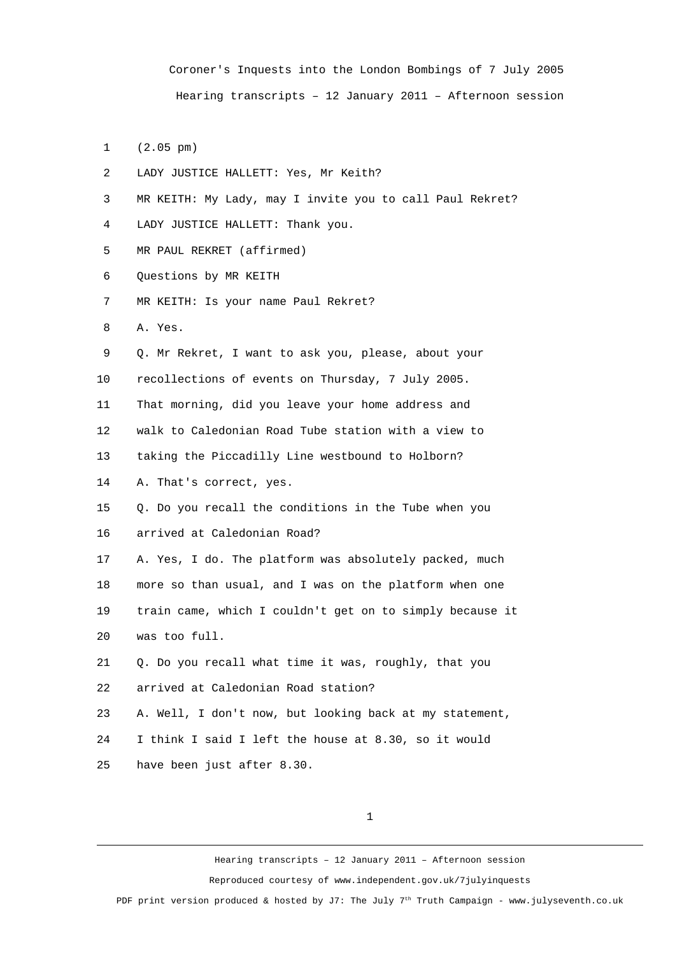Coroner's Inquests into the London Bombings of 7 July 2005 Hearing transcripts – 12 January 2011 – Afternoon session

- 1 (2.05 pm)
- 2 LADY JUSTICE HALLETT: Yes, Mr Keith?
- 3 MR KEITH: My Lady, may I invite you to call Paul Rekret?
- 4 LADY JUSTICE HALLETT: Thank you.
- 5 MR PAUL REKRET (affirmed)
- 6 Questions by MR KEITH
- 7 MR KEITH: Is your name Paul Rekret?
- 8 A. Yes.
- 9 Q. Mr Rekret, I want to ask you, please, about your
- 10 recollections of events on Thursday, 7 July 2005.

11 That morning, did you leave your home address and

12 walk to Caledonian Road Tube station with a view to

13 taking the Piccadilly Line westbound to Holborn?

14 A. That's correct, yes.

15 Q. Do you recall the conditions in the Tube when you 16 arrived at Caledonian Road?

17 A. Yes, I do. The platform was absolutely packed, much 18 more so than usual, and I was on the platform when one 19 train came, which I couldn't get on to simply because it 20 was too full.

21 Q. Do you recall what time it was, roughly, that you 22 arrived at Caledonian Road station?

23 A. Well, I don't now, but looking back at my statement,

24 I think I said I left the house at 8.30, so it would

25 have been just after 8.30.

1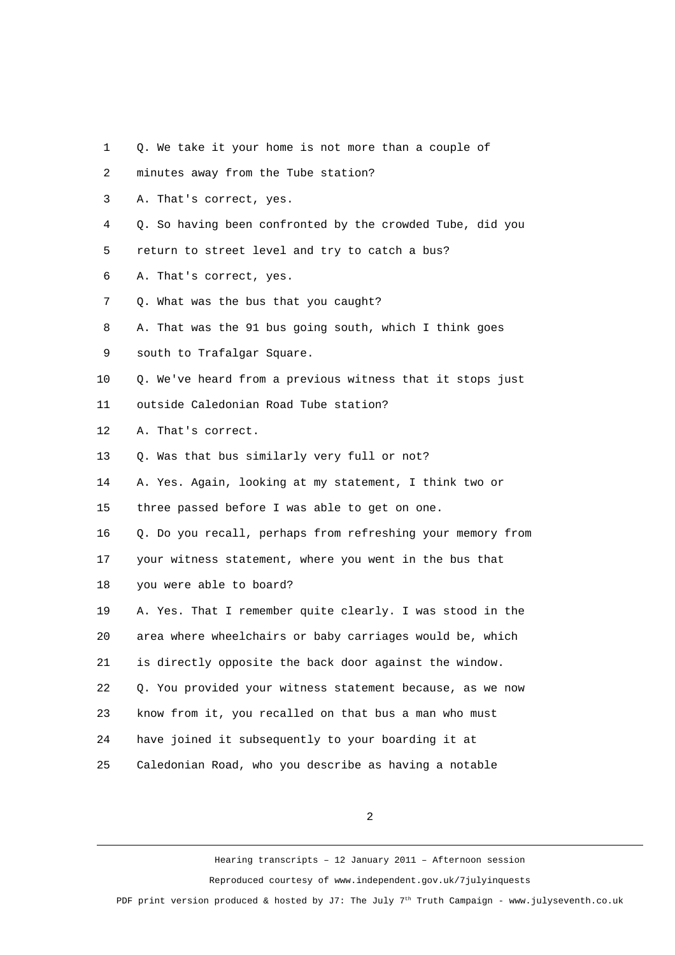- 1 Q. We take it your home is not more than a couple of
- 2 minutes away from the Tube station?
- 3 A. That's correct, yes.
- 4 Q. So having been confronted by the crowded Tube, did you
- 5 return to street level and try to catch a bus?
- 6 A. That's correct, yes.
- 7 Q. What was the bus that you caught?
- 8 A. That was the 91 bus going south, which I think goes
- 9 south to Trafalgar Square.
- 10 Q. We've heard from a previous witness that it stops just
- 11 outside Caledonian Road Tube station?
- 12 A. That's correct.
- 13 0. Was that bus similarly very full or not?
- 14 A. Yes. Again, looking at my statement, I think two or
- 15 three passed before I was able to get on one.
- 16 Q. Do you recall, perhaps from refreshing your memory from

17 your witness statement, where you went in the bus that

18 you were able to board?

19 A. Yes. That I remember quite clearly. I was stood in the 20 area where wheelchairs or baby carriages would be, which 21 is directly opposite the back door against the window. 22 Q. You provided your witness statement because, as we now 23 know from it, you recalled on that bus a man who must 24 have joined it subsequently to your boarding it at 25 Caledonian Road, who you describe as having a notable

2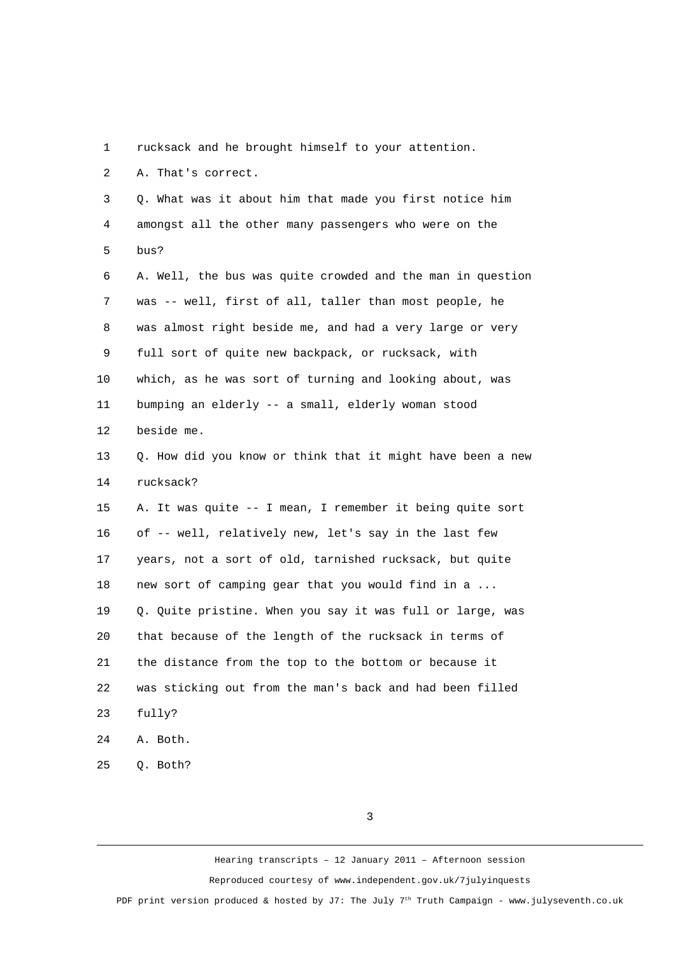1 rucksack and he brought himself to your attention.

2 A. That's correct.

 3 Q. What was it about him that made you first notice him 4 amongst all the other many passengers who were on the 5 bus? 6 A. Well, the bus was quite crowded and the man in question 7 was -- well, first of all, taller than most people, he 8 was almost right beside me, and had a very large or very 9 full sort of quite new backpack, or rucksack, with 10 which, as he was sort of turning and looking about, was 11 bumping an elderly -- a small, elderly woman stood 12 beside me. 13 Q. How did you know or think that it might have been a new 14 rucksack? 15 A. It was quite -- I mean, I remember it being quite sort 16 of -- well, relatively new, let's say in the last few 17 years, not a sort of old, tarnished rucksack, but quite 18 new sort of camping gear that you would find in a ... 19 Q. Quite pristine. When you say it was full or large, was 20 that because of the length of the rucksack in terms of 21 the distance from the top to the bottom or because it 22 was sticking out from the man's back and had been filled 23 fully? 24 A. Both.

25 Q. Both?

3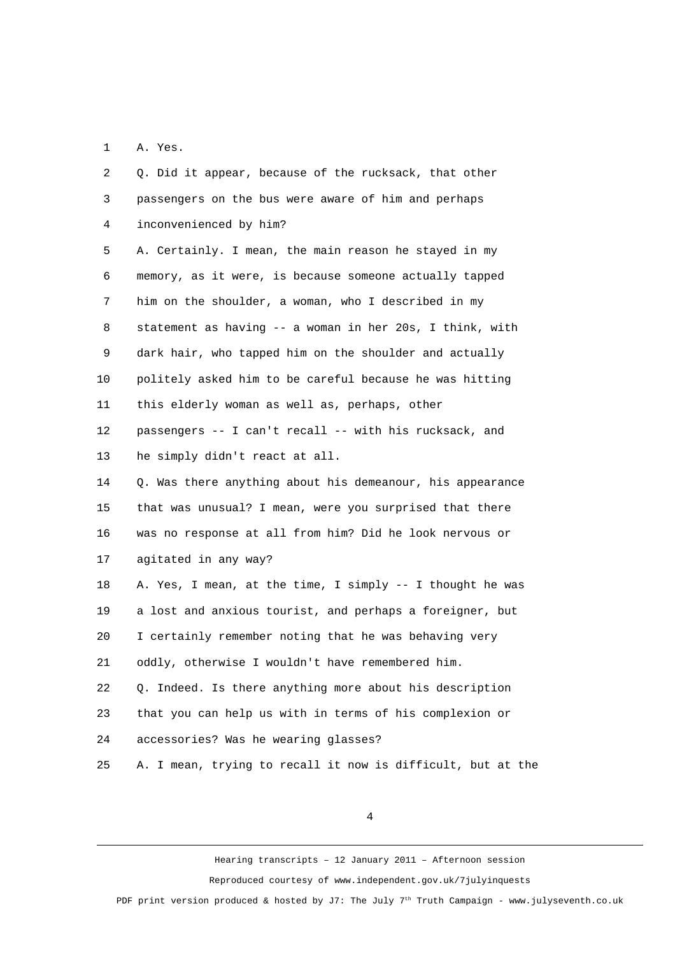1 A. Yes.

 2 Q. Did it appear, because of the rucksack, that other 3 passengers on the bus were aware of him and perhaps 4 inconvenienced by him? 5 A. Certainly. I mean, the main reason he stayed in my 6 memory, as it were, is because someone actually tapped 7 him on the shoulder, a woman, who I described in my 8 statement as having -- a woman in her 20s, I think, with 9 dark hair, who tapped him on the shoulder and actually 10 politely asked him to be careful because he was hitting 11 this elderly woman as well as, perhaps, other 12 passengers -- I can't recall -- with his rucksack, and 13 he simply didn't react at all. 14 Q. Was there anything about his demeanour, his appearance 15 that was unusual? I mean, were you surprised that there 16 was no response at all from him? Did he look nervous or 17 agitated in any way? 18 A. Yes, I mean, at the time, I simply -- I thought he was 19 a lost and anxious tourist, and perhaps a foreigner, but 20 I certainly remember noting that he was behaving very 21 oddly, otherwise I wouldn't have remembered him. 22 Q. Indeed. Is there anything more about his description 23 that you can help us with in terms of his complexion or 24 accessories? Was he wearing glasses? 25 A. I mean, trying to recall it now is difficult, but at the

4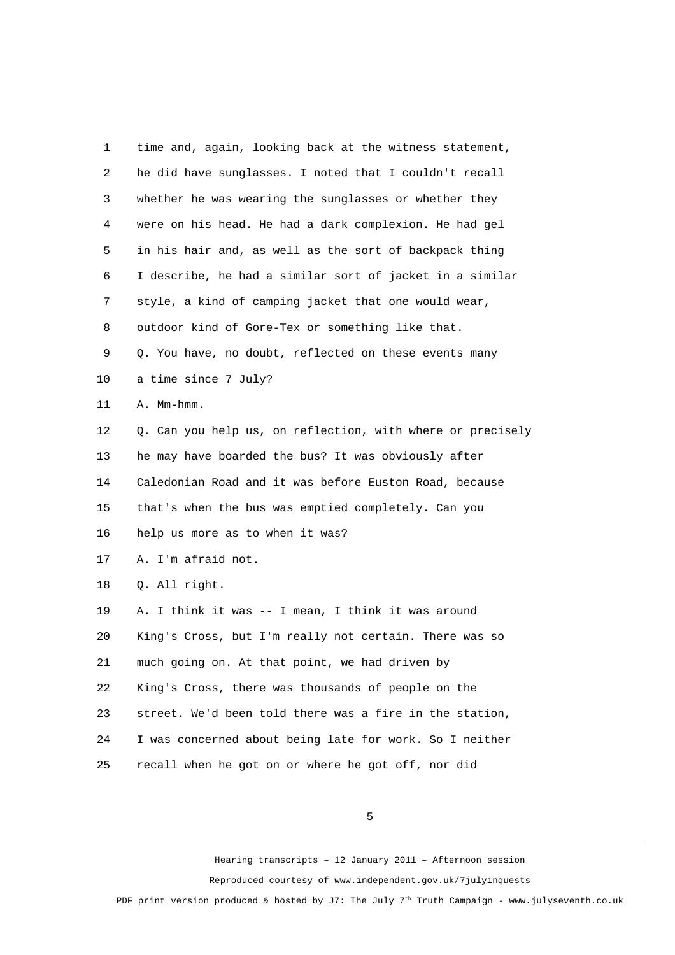| 1              | time and, again, looking back at the witness statement,    |
|----------------|------------------------------------------------------------|
| $\overline{c}$ | he did have sunglasses. I noted that I couldn't recall     |
| 3              | whether he was wearing the sunglasses or whether they      |
| 4              | were on his head. He had a dark complexion. He had gel     |
| 5              | in his hair and, as well as the sort of backpack thing     |
| 6              | I describe, he had a similar sort of jacket in a similar   |
| 7              | style, a kind of camping jacket that one would wear,       |
| 8              | outdoor kind of Gore-Tex or something like that.           |
| 9              | Q. You have, no doubt, reflected on these events many      |
| 10             | a time since 7 July?                                       |
| 11             | A. Mm-hmm.                                                 |
| 12             | Q. Can you help us, on reflection, with where or precisely |
| 13             | he may have boarded the bus? It was obviously after        |
| 14             | Caledonian Road and it was before Euston Road, because     |
| 15             | that's when the bus was emptied completely. Can you        |
| 16             | help us more as to when it was?                            |
| 17             | A. I'm afraid not.                                         |
| 18             | Q. All right.                                              |
| 19             | A. I think it was -- I mean, I think it was around         |
| 20             | King's Cross, but I'm really not certain. There was so     |
| 21             | much going on. At that point, we had driven by             |
| 22             | King's Cross, there was thousands of people on the         |
| 23             | street. We'd been told there was a fire in the station,    |
| 24             | I was concerned about being late for work. So I neither    |
| 25             | recall when he got on or where he got off, nor did         |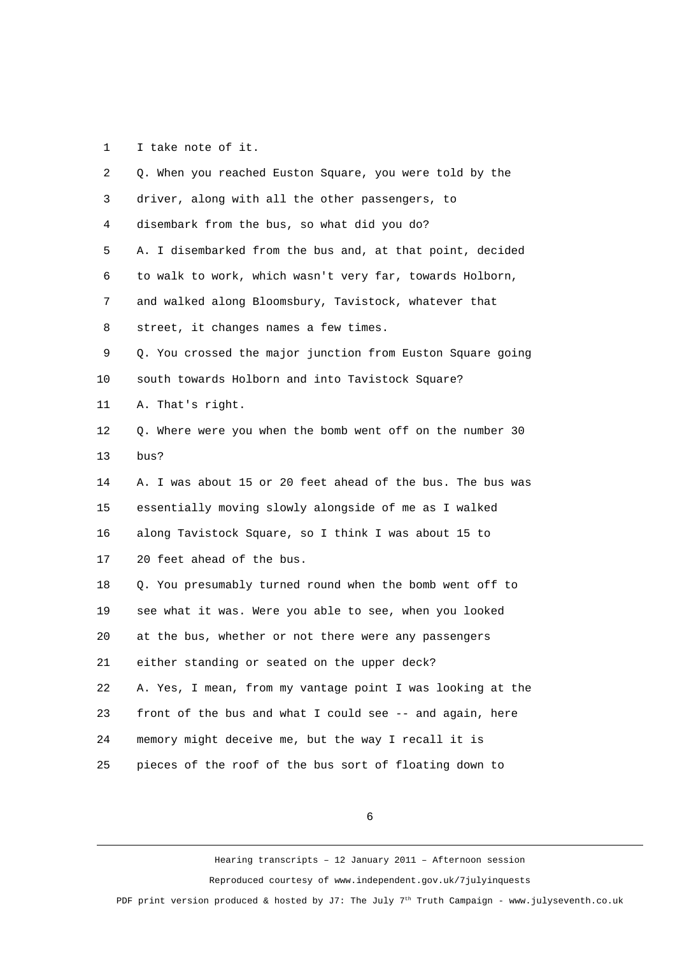1 I take note of it.

| $\overline{2}$ | Q. When you reached Euston Square, you were told by the    |
|----------------|------------------------------------------------------------|
| 3              | driver, along with all the other passengers, to            |
| 4              | disembark from the bus, so what did you do?                |
| 5              | A. I disembarked from the bus and, at that point, decided  |
| 6              | to walk to work, which wasn't very far, towards Holborn,   |
| 7              | and walked along Bloomsbury, Tavistock, whatever that      |
| 8              | street, it changes names a few times.                      |
| 9              | Q. You crossed the major junction from Euston Square going |
| 10             | south towards Holborn and into Tavistock Square?           |
| 11             | A. That's right.                                           |
| 12             | Q. Where were you when the bomb went off on the number 30  |
| 13             | bus?                                                       |
| 14             | A. I was about 15 or 20 feet ahead of the bus. The bus was |
| 15             | essentially moving slowly alongside of me as I walked      |
| 16             | along Tavistock Square, so I think I was about 15 to       |
| 17             | 20 feet ahead of the bus.                                  |
| 18             | Q. You presumably turned round when the bomb went off to   |
| 19             | see what it was. Were you able to see, when you looked     |
| 20             | at the bus, whether or not there were any passengers       |
| 21             | either standing or seated on the upper deck?               |
| 22             | A. Yes, I mean, from my vantage point I was looking at the |
| 23             | front of the bus and what I could see -- and again, here   |
| 24             | memory might deceive me, but the way I recall it is        |
| 25             | pieces of the roof of the bus sort of floating down to     |

6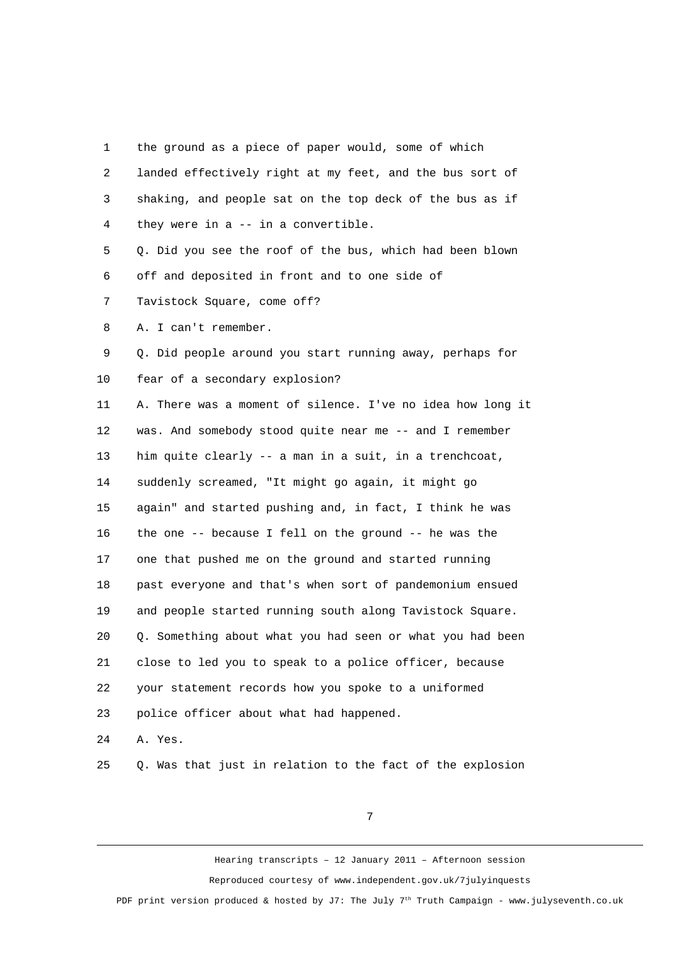1 the ground as a piece of paper would, some of which 2 landed effectively right at my feet, and the bus sort of 3 shaking, and people sat on the top deck of the bus as if 4 they were in a -- in a convertible. 5 Q. Did you see the roof of the bus, which had been blown 6 off and deposited in front and to one side of 7 Tavistock Square, come off? 8 A. I can't remember. 9 Q. Did people around you start running away, perhaps for 10 fear of a secondary explosion? 11 A. There was a moment of silence. I've no idea how long it 12 was. And somebody stood quite near me -- and I remember 13 him quite clearly -- a man in a suit, in a trenchcoat, 14 suddenly screamed, "It might go again, it might go 15 again" and started pushing and, in fact, I think he was 16 the one -- because I fell on the ground -- he was the 17 one that pushed me on the ground and started running 18 past everyone and that's when sort of pandemonium ensued 19 and people started running south along Tavistock Square. 20 Q. Something about what you had seen or what you had been 21 close to led you to speak to a police officer, because 22 your statement records how you spoke to a uniformed

23 police officer about what had happened.

24 A. Yes.

25 Q. Was that just in relation to the fact of the explosion

7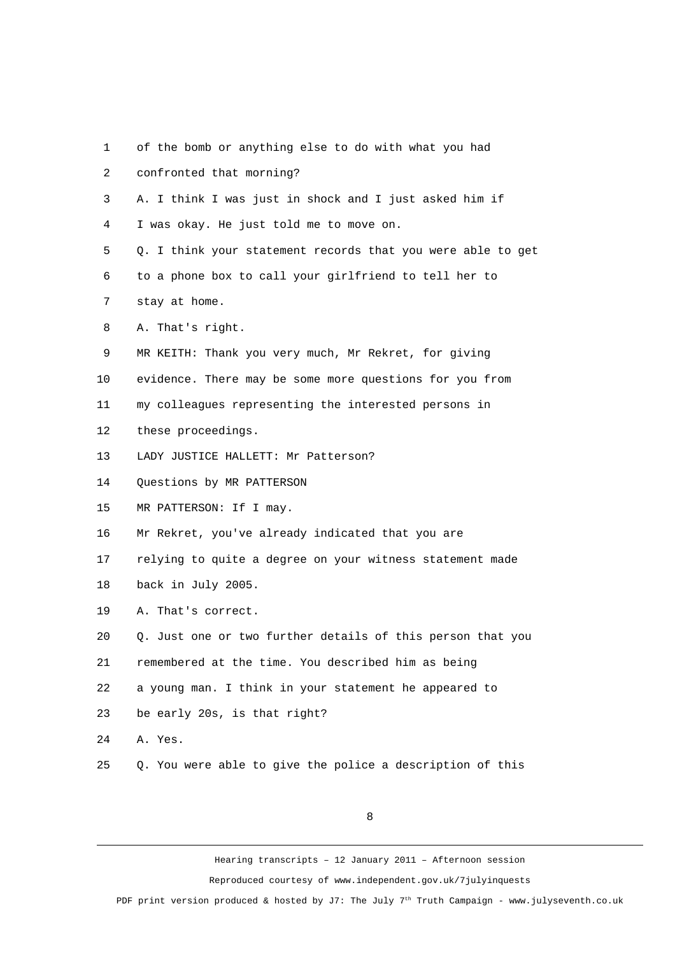- 1 of the bomb or anything else to do with what you had
- 2 confronted that morning?
- 3 A. I think I was just in shock and I just asked him if
- 4 I was okay. He just told me to move on.
- 5 Q. I think your statement records that you were able to get
- 6 to a phone box to call your girlfriend to tell her to
- 7 stay at home.
- 8 A. That's right.
- 9 MR KEITH: Thank you very much, Mr Rekret, for giving
- 10 evidence. There may be some more questions for you from
- 11 my colleagues representing the interested persons in
- 12 these proceedings.
- 13 LADY JUSTICE HALLETT: Mr Patterson?
- 14 Questions by MR PATTERSON
- 15 MR PATTERSON: If I may.
- 16 Mr Rekret, you've already indicated that you are
- 17 relying to quite a degree on your witness statement made
- 18 back in July 2005.
- 19 A. That's correct.
- 20 Q. Just one or two further details of this person that you
- 21 remembered at the time. You described him as being
- 22 a young man. I think in your statement he appeared to
- 23 be early 20s, is that right?
- 24 A. Yes.
- 25 Q. You were able to give the police a description of this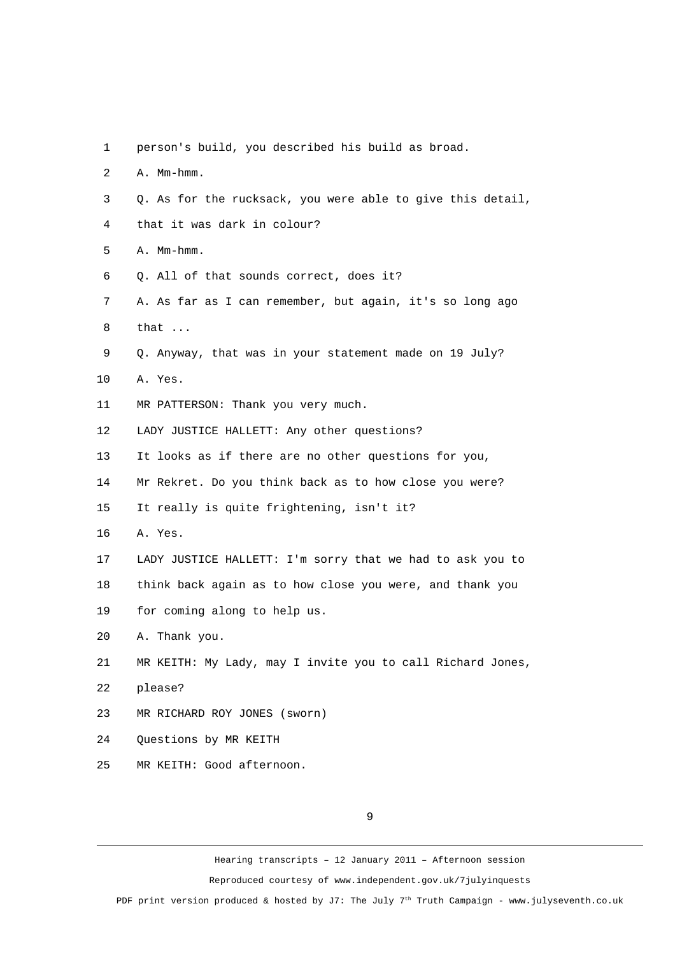- 1 person's build, you described his build as broad.
- 2 A. Mm-hmm.
- 3 Q. As for the rucksack, you were able to give this detail,
- 4 that it was dark in colour?
- 5 A. Mm-hmm.
- 6 Q. All of that sounds correct, does it?
- 7 A. As far as I can remember, but again, it's so long ago 8 that ...
- 9 Q. Anyway, that was in your statement made on 19 July?
- 10 A. Yes.
- 11 MR PATTERSON: Thank you very much.
- 12 LADY JUSTICE HALLETT: Any other questions?
- 13 It looks as if there are no other questions for you,
- 14 Mr Rekret. Do you think back as to how close you were?
- 15 It really is quite frightening, isn't it?
- 16 A. Yes.
- 17 LADY JUSTICE HALLETT: I'm sorry that we had to ask you to
- 18 think back again as to how close you were, and thank you
- 19 for coming along to help us.
- 20 A. Thank you.
- 21 MR KEITH: My Lady, may I invite you to call Richard Jones,
- 22 please?
- 23 MR RICHARD ROY JONES (sworn)
- 24 Questions by MR KEITH
- 25 MR KEITH: Good afternoon.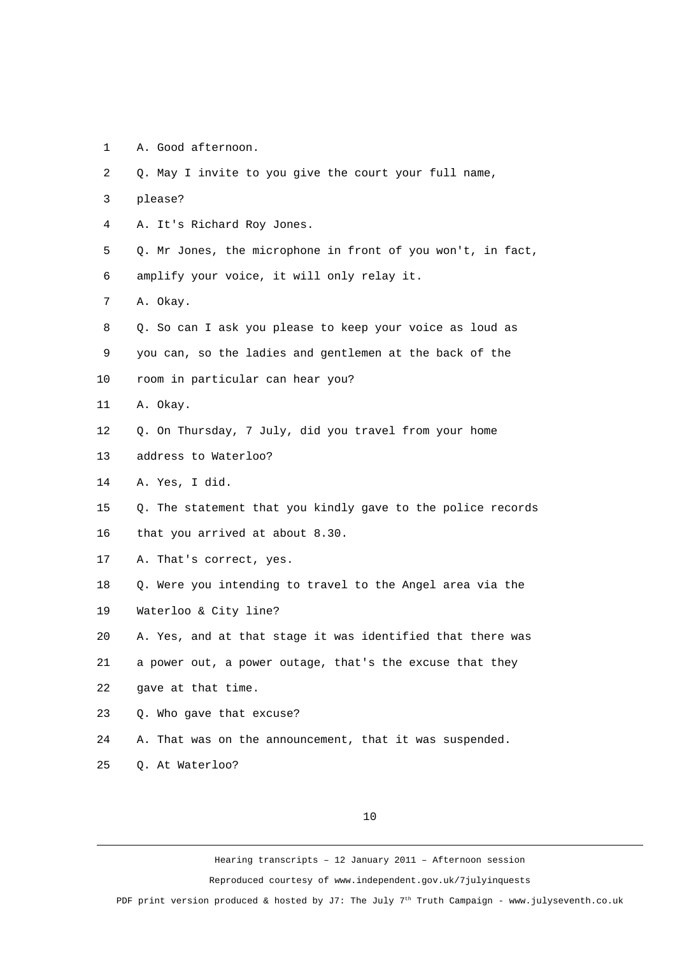1 A. Good afternoon.

| $\overline{2}$ | Q. May I invite to you give the court your full name,       |
|----------------|-------------------------------------------------------------|
| 3              | please?                                                     |
| 4              | A. It's Richard Roy Jones.                                  |
| 5              | Q. Mr Jones, the microphone in front of you won't, in fact, |
| 6              | amplify your voice, it will only relay it.                  |
| $\overline{7}$ | A. Okay.                                                    |
| 8              | Q. So can I ask you please to keep your voice as loud as    |
| 9              | you can, so the ladies and gentlemen at the back of the     |
| 10             | room in particular can hear you?                            |
| 11             | A. Okay.                                                    |
| 12             | Q. On Thursday, 7 July, did you travel from your home       |
| 13             | address to Waterloo?                                        |
| 14             | A. Yes, I did.                                              |
| 15             | Q. The statement that you kindly gave to the police records |
| 16             | that you arrived at about 8.30.                             |
| 17             | A. That's correct, yes.                                     |
| 18             | Q. Were you intending to travel to the Angel area via the   |
| 19             | Waterloo & City line?                                       |
| 20             | A. Yes, and at that stage it was identified that there was  |
| 21             | a power out, a power outage, that's the excuse that they    |
| 22             | gave at that time.                                          |
| 23             | Q. Who gave that excuse?                                    |
| 24             | A. That was on the announcement, that it was suspended.     |
| 25             | Q. At Waterloo?                                             |

10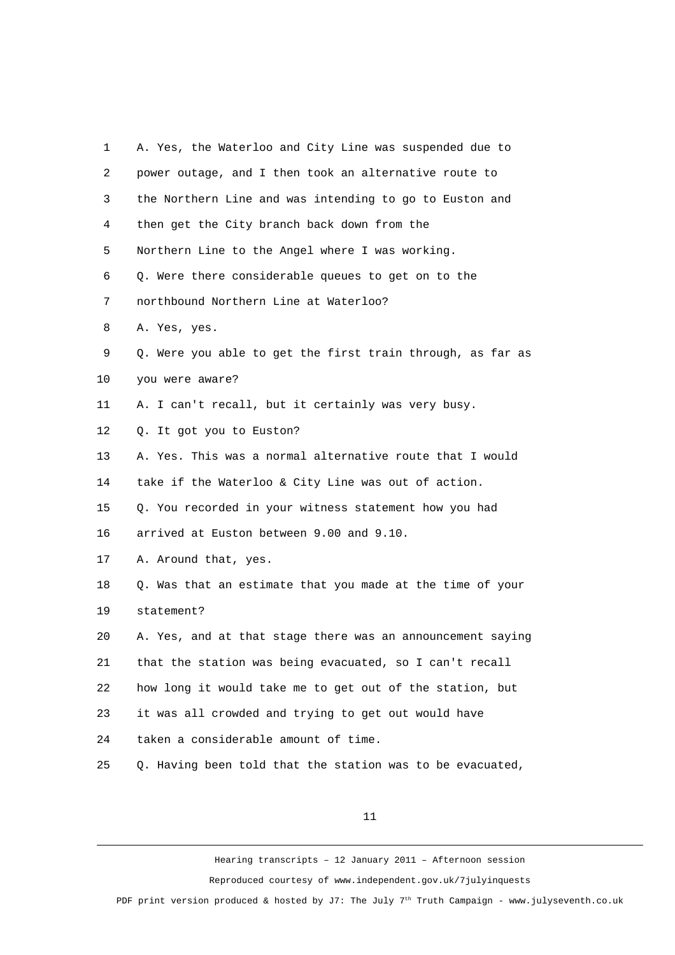| 1              | A. Yes, the Waterloo and City Line was suspended due to    |
|----------------|------------------------------------------------------------|
| $\overline{2}$ | power outage, and I then took an alternative route to      |
| 3              | the Northern Line and was intending to go to Euston and    |
| 4              | then get the City branch back down from the                |
| 5              | Northern Line to the Angel where I was working.            |
| 6              | Q. Were there considerable queues to get on to the         |
| $\overline{7}$ | northbound Northern Line at Waterloo?                      |
| 8              | A. Yes, yes.                                               |
| 9              | Q. Were you able to get the first train through, as far as |
| 10             | you were aware?                                            |
| 11             | A. I can't recall, but it certainly was very busy.         |
| 12             | Q. It got you to Euston?                                   |
| 13             | A. Yes. This was a normal alternative route that I would   |
| 14             | take if the Waterloo & City Line was out of action.        |
| 15             | Q. You recorded in your witness statement how you had      |
| 16             | arrived at Euston between 9.00 and 9.10.                   |
| 17             | A. Around that, yes.                                       |
| 18             | Q. Was that an estimate that you made at the time of your  |
| 19             | statement?                                                 |
| 20             | A. Yes, and at that stage there was an announcement saying |
| 21             | that the station was being evacuated, so I can't recall    |
| 22             | how long it would take me to get out of the station, but   |
| 23             | it was all crowded and trying to get out would have        |
| 24             | taken a considerable amount of time.                       |
| 25             | Q. Having been told that the station was to be evacuated,  |
|                |                                                            |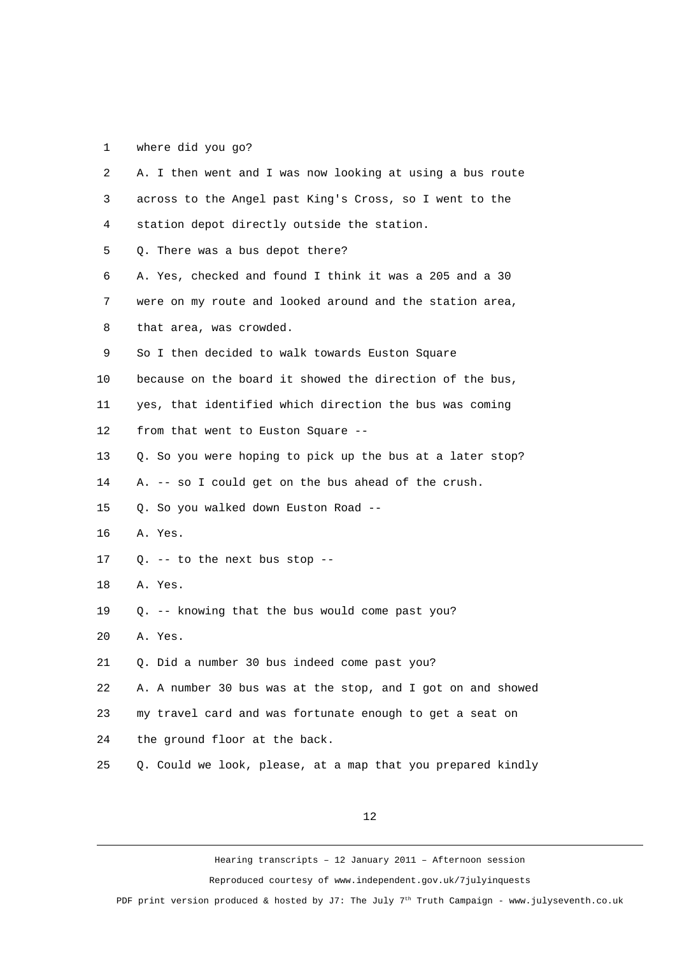1 where did you go?

| $\overline{2}$ | A. I then went and I was now looking at using a bus route   |
|----------------|-------------------------------------------------------------|
| 3              | across to the Angel past King's Cross, so I went to the     |
| 4              | station depot directly outside the station.                 |
| 5              | Q. There was a bus depot there?                             |
| 6              | A. Yes, checked and found I think it was a 205 and a 30     |
| $\overline{7}$ | were on my route and looked around and the station area,    |
| 8              | that area, was crowded.                                     |
| 9              | So I then decided to walk towards Euston Square             |
| 10             | because on the board it showed the direction of the bus,    |
| 11             | yes, that identified which direction the bus was coming     |
| 12             | from that went to Euston Square --                          |
| 13             | Q. So you were hoping to pick up the bus at a later stop?   |
| 14             | A. -- so I could get on the bus ahead of the crush.         |
| 15             | Q. So you walked down Euston Road --                        |
| 16             | A. Yes.                                                     |
| 17             | Q. -- to the next bus stop --                               |
| 18             | A. Yes.                                                     |
| 19             | Q. -- knowing that the bus would come past you?             |
| 20             | A. Yes.                                                     |
| 21             | Q. Did a number 30 bus indeed come past you?                |
| 22             | A. A number 30 bus was at the stop, and I got on and showed |
| 23             | my travel card and was fortunate enough to get a seat on    |
| 24             | the ground floor at the back.                               |
| 25             | Q. Could we look, please, at a map that you prepared kindly |
|                |                                                             |

12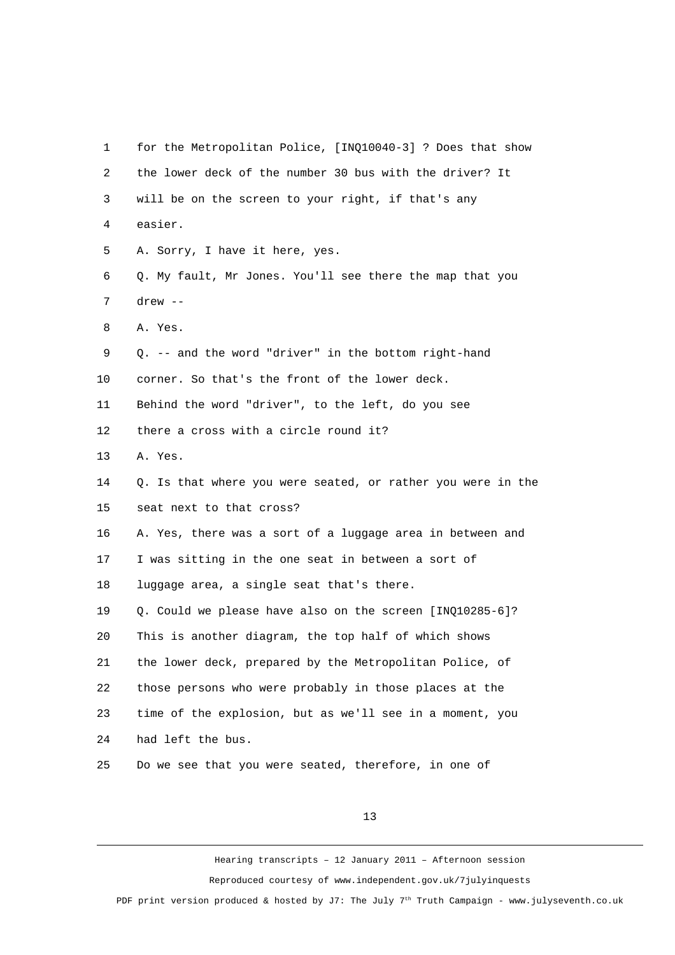1 for the Metropolitan Police, [INQ10040-3] ? Does that show 2 the lower deck of the number 30 bus with the driver? It 3 will be on the screen to your right, if that's any 4 easier. 5 A. Sorry, I have it here, yes. 6 Q. My fault, Mr Jones. You'll see there the map that you 7 drew -- 8 A. Yes. 9 Q. -- and the word "driver" in the bottom right-hand 10 corner. So that's the front of the lower deck. 11 Behind the word "driver", to the left, do you see 12 there a cross with a circle round it? 13 A. Yes. 14 Q. Is that where you were seated, or rather you were in the 15 seat next to that cross? 16 A. Yes, there was a sort of a luggage area in between and 17 I was sitting in the one seat in between a sort of 18 luggage area, a single seat that's there. 19 Q. Could we please have also on the screen [INQ10285-6]? 20 This is another diagram, the top half of which shows 21 the lower deck, prepared by the Metropolitan Police, of 22 those persons who were probably in those places at the 23 time of the explosion, but as we'll see in a moment, you 24 had left the bus. 25 Do we see that you were seated, therefore, in one of

13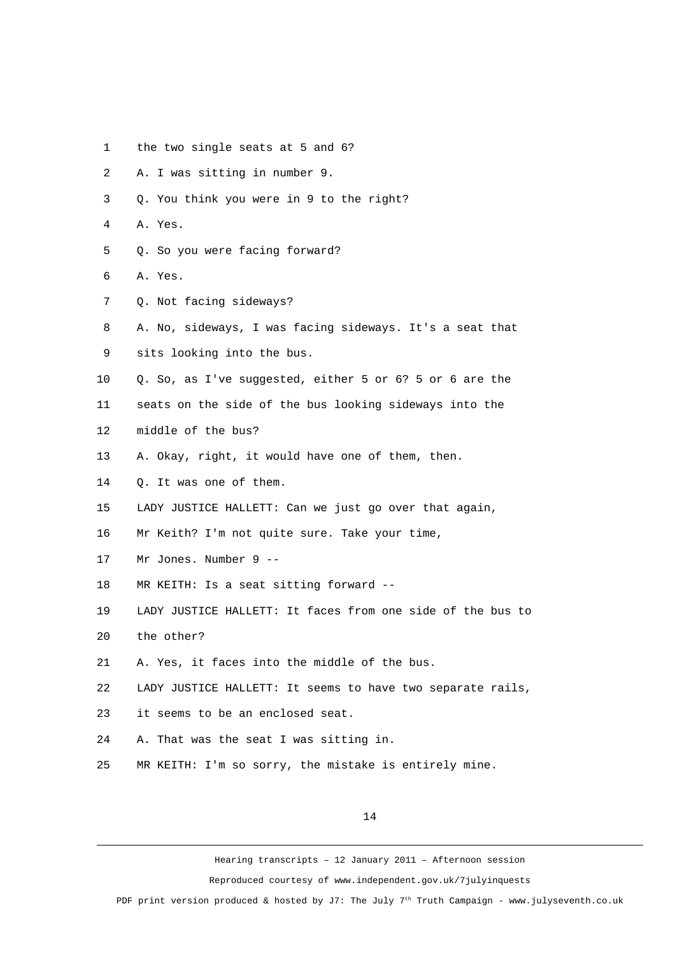- 1 the two single seats at 5 and 6?
- 2 A. I was sitting in number 9.
- 3 Q. You think you were in 9 to the right?
- 4 A. Yes.
- 5 Q. So you were facing forward?
- 6 A. Yes.
- 7 Q. Not facing sideways?
- 8 A. No, sideways, I was facing sideways. It's a seat that
- 9 sits looking into the bus.
- 10 Q. So, as I've suggested, either 5 or 6? 5 or 6 are the
- 11 seats on the side of the bus looking sideways into the
- 12 middle of the bus?
- 13 A. Okay, right, it would have one of them, then.
- 14 Q. It was one of them.
- 15 LADY JUSTICE HALLETT: Can we just go over that again,
- 16 Mr Keith? I'm not quite sure. Take your time,
- 17 Mr Jones. Number 9 --
- 18 MR KEITH: Is a seat sitting forward --
- 19 LADY JUSTICE HALLETT: It faces from one side of the bus to
- 20 the other?
- 21 A. Yes, it faces into the middle of the bus.
- 22 LADY JUSTICE HALLETT: It seems to have two separate rails,
- 23 it seems to be an enclosed seat.
- 24 A. That was the seat I was sitting in.
- 25 MR KEITH: I'm so sorry, the mistake is entirely mine.

Hearing transcripts – 12 January 2011 – Afternoon session Reproduced courtesy of www.independent.gov.uk/7julyinquests

PDF print version produced & hosted by J7: The July  $7<sup>th</sup>$  Truth Campaign - www.julyseventh.co.uk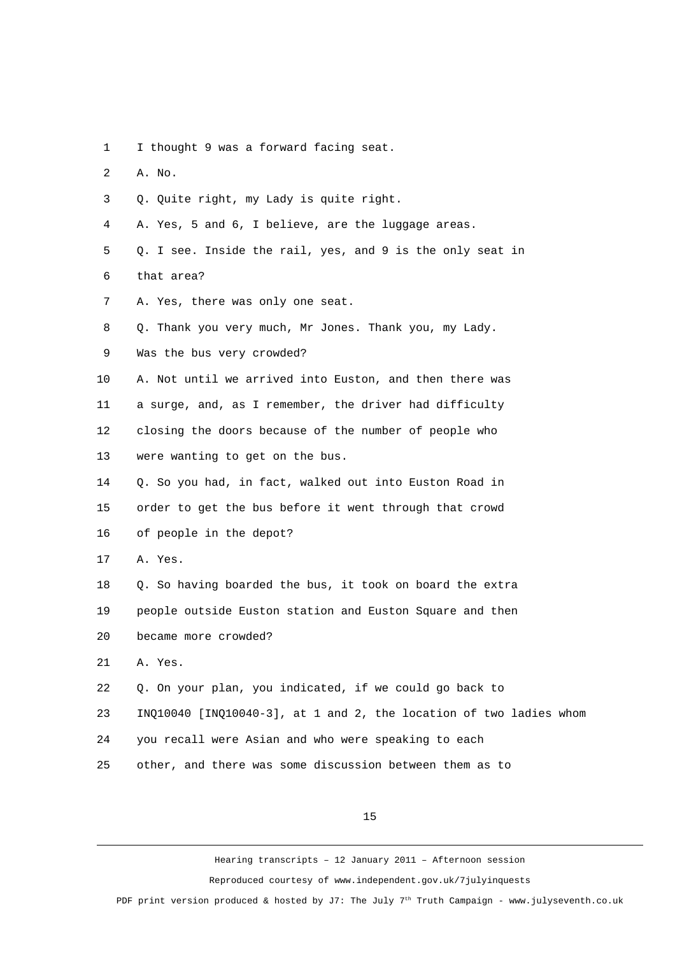- 1 I thought 9 was a forward facing seat.
- 2 A. No.
- 3 Q. Quite right, my Lady is quite right.
- 4 A. Yes, 5 and 6, I believe, are the luggage areas.
- 5 Q. I see. Inside the rail, yes, and 9 is the only seat in 6 that area?
- 7 A. Yes, there was only one seat.
- 8 Q. Thank you very much, Mr Jones. Thank you, my Lady.
- 9 Was the bus very crowded?
- 10 A. Not until we arrived into Euston, and then there was 11 a surge, and, as I remember, the driver had difficulty 12 closing the doors because of the number of people who 13 were wanting to get on the bus.
- 14 Q. So you had, in fact, walked out into Euston Road in 15 order to get the bus before it went through that crowd 16 of people in the depot?
- 17 A. Yes.
- 18 Q. So having boarded the bus, it took on board the extra 19 people outside Euston station and Euston Square and then 20 became more crowded?
- 21 A. Yes.
- 22 Q. On your plan, you indicated, if we could go back to
- 23 INQ10040 [INQ10040-3], at 1 and 2, the location of two ladies whom
- 24 you recall were Asian and who were speaking to each
- 25 other, and there was some discussion between them as to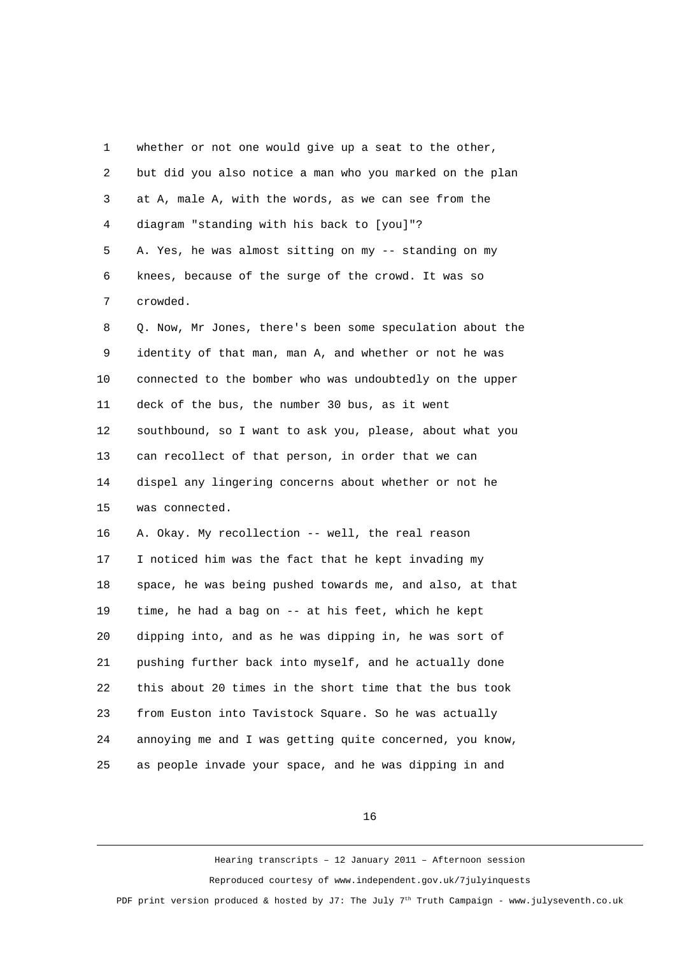| 1              | whether or not one would give up a seat to the other,     |
|----------------|-----------------------------------------------------------|
| $\overline{c}$ | but did you also notice a man who you marked on the plan  |
| 3              | at A, male A, with the words, as we can see from the      |
| 4              | diagram "standing with his back to [you]"?                |
| 5              | A. Yes, he was almost sitting on my -- standing on my     |
| 6              | knees, because of the surge of the crowd. It was so       |
| 7              | crowded.                                                  |
| 8              | Q. Now, Mr Jones, there's been some speculation about the |
| 9              | identity of that man, man A, and whether or not he was    |
| 10             | connected to the bomber who was undoubtedly on the upper  |
| 11             | deck of the bus, the number 30 bus, as it went            |
| 12             | southbound, so I want to ask you, please, about what you  |
| 13             | can recollect of that person, in order that we can        |
| 14             | dispel any lingering concerns about whether or not he     |
| 15             | was connected.                                            |
| 16             | A. Okay. My recollection -- well, the real reason         |
| 17             | I noticed him was the fact that he kept invading my       |
| 18             | space, he was being pushed towards me, and also, at that  |
| 19             | time, he had a bag on -- at his feet, which he kept       |
| 20             | dipping into, and as he was dipping in, he was sort of    |
| 21             | pushing further back into myself, and he actually done    |
| 22             | this about 20 times in the short time that the bus took   |
| 23             | from Euston into Tavistock Square. So he was actually     |
| 24             | annoying me and I was getting quite concerned, you know,  |
| 25             | as people invade your space, and he was dipping in and    |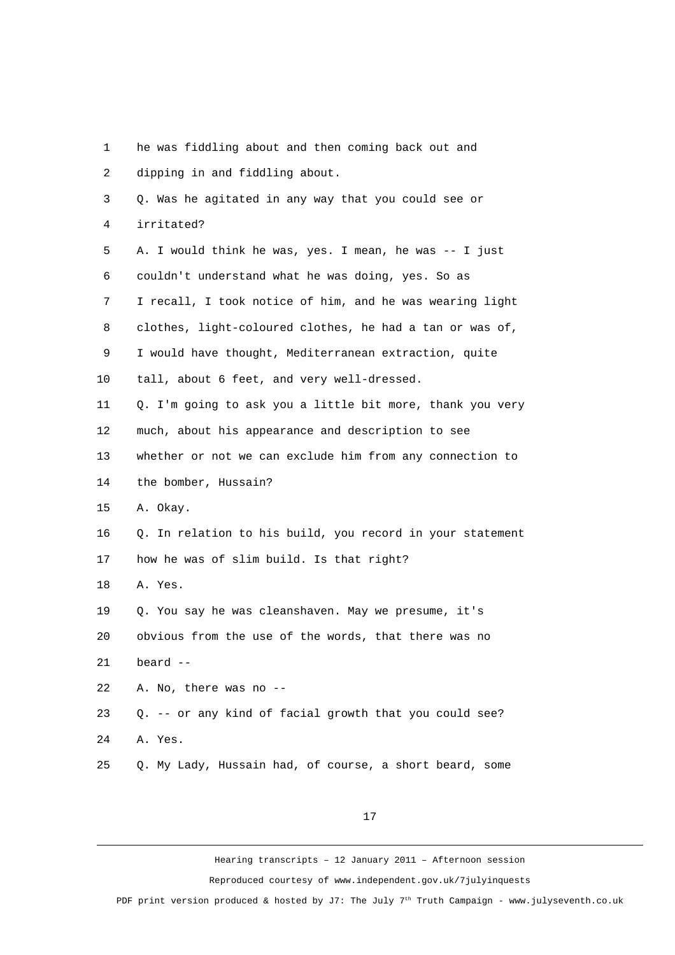| 1  | he was fiddling about and then coming back out and        |
|----|-----------------------------------------------------------|
| 2  | dipping in and fiddling about.                            |
| 3  | Q. Was he agitated in any way that you could see or       |
| 4  | irritated?                                                |
| 5  | A. I would think he was, yes. I mean, he was -- I just    |
| 6  | couldn't understand what he was doing, yes. So as         |
| 7  | I recall, I took notice of him, and he was wearing light  |
| 8  | clothes, light-coloured clothes, he had a tan or was of,  |
| 9  | I would have thought, Mediterranean extraction, quite     |
| 10 | tall, about 6 feet, and very well-dressed.                |
| 11 | Q. I'm going to ask you a little bit more, thank you very |
| 12 | much, about his appearance and description to see         |
| 13 | whether or not we can exclude him from any connection to  |
| 14 | the bomber, Hussain?                                      |
| 15 | A. Okay.                                                  |
| 16 | Q. In relation to his build, you record in your statement |
| 17 | how he was of slim build. Is that right?                  |
| 18 | A. Yes.                                                   |
| 19 | Q. You say he was cleanshaven. May we presume, it's       |
| 20 | obvious from the use of the words, that there was no      |
| 21 | beard --                                                  |
| 22 | A. No, there was no --                                    |
| 23 | Q. -- or any kind of facial growth that you could see?    |
| 24 | A. Yes.                                                   |
| 25 | Q. My Lady, Hussain had, of course, a short beard, some   |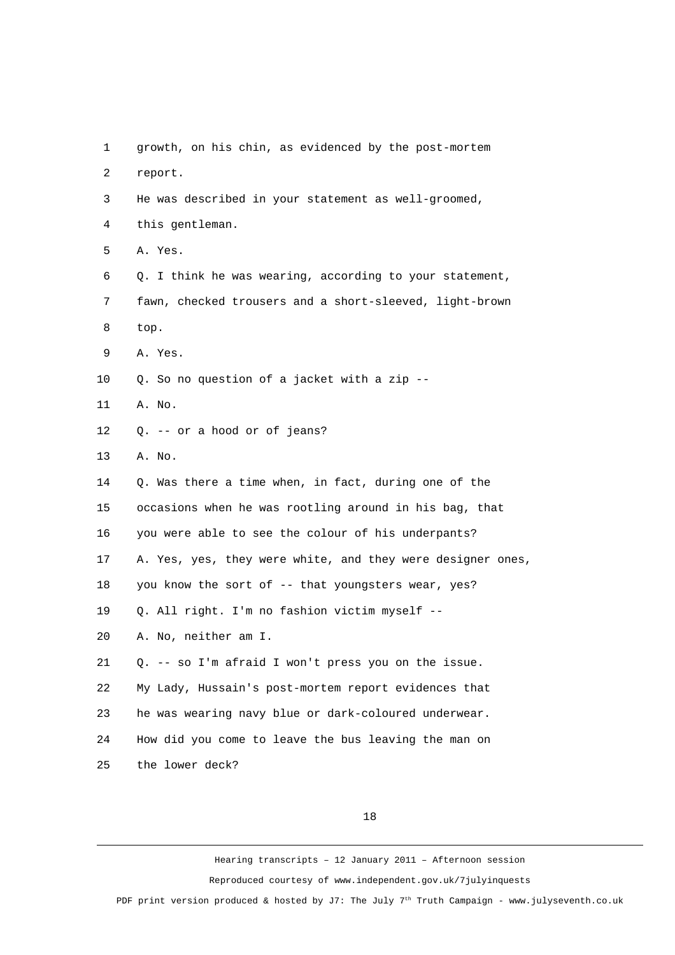1 growth, on his chin, as evidenced by the post-mortem 2 report. 3 He was described in your statement as well-groomed, 4 this gentleman. 5 A. Yes. 6 Q. I think he was wearing, according to your statement, 7 fawn, checked trousers and a short-sleeved, light-brown 8 top. 9 A. Yes. 10 Q. So no question of a jacket with a zip -- 11 A. No. 12 Q. -- or a hood or of jeans? 13 A. No. 14 Q. Was there a time when, in fact, during one of the 15 occasions when he was rootling around in his bag, that 16 you were able to see the colour of his underpants? 17 A. Yes, yes, they were white, and they were designer ones, 18 you know the sort of -- that youngsters wear, yes? 19 Q. All right. I'm no fashion victim myself -- 20 A. No, neither am I. 21 Q. -- so I'm afraid I won't press you on the issue. 22 My Lady, Hussain's post-mortem report evidences that 23 he was wearing navy blue or dark-coloured underwear. 24 How did you come to leave the bus leaving the man on 25 the lower deck?

18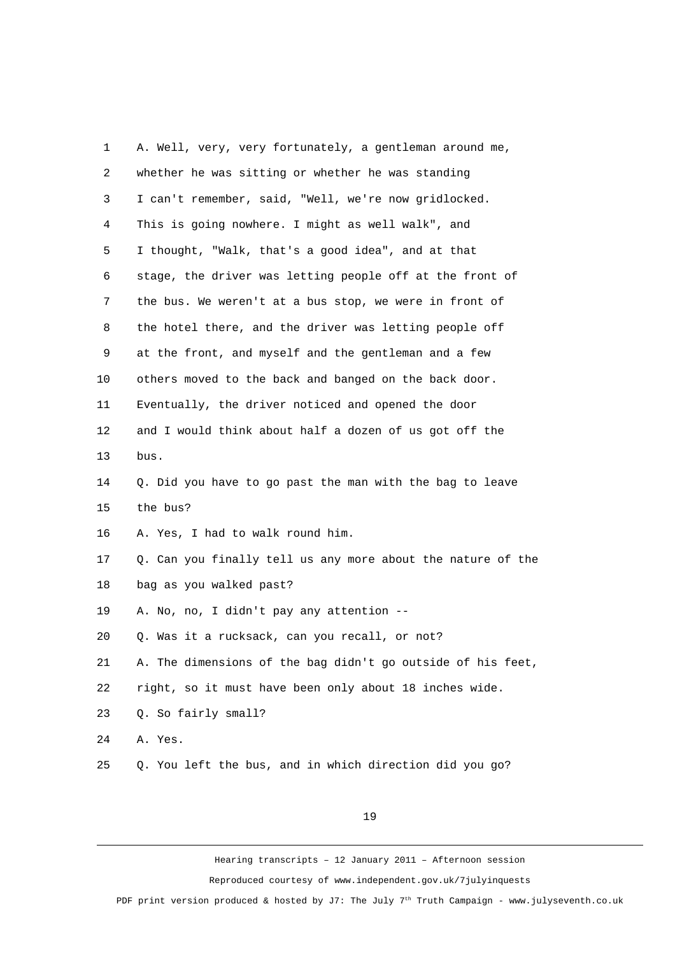| 1              | A. Well, very, very fortunately, a gentleman around me,     |
|----------------|-------------------------------------------------------------|
| $\overline{c}$ | whether he was sitting or whether he was standing           |
| 3              | I can't remember, said, "Well, we're now gridlocked.        |
| 4              | This is going nowhere. I might as well walk", and           |
| 5              | I thought, "Walk, that's a good idea", and at that          |
| 6              | stage, the driver was letting people off at the front of    |
| 7              | the bus. We weren't at a bus stop, we were in front of      |
| 8              | the hotel there, and the driver was letting people off      |
| 9              | at the front, and myself and the gentleman and a few        |
| 10             | others moved to the back and banged on the back door.       |
| 11             | Eventually, the driver noticed and opened the door          |
| 12             | and I would think about half a dozen of us got off the      |
| 13             | bus.                                                        |
| 14             | Q. Did you have to go past the man with the bag to leave    |
| 15             | the bus?                                                    |
| 16             | A. Yes, I had to walk round him.                            |
| 17             | Q. Can you finally tell us any more about the nature of the |
| 18             | bag as you walked past?                                     |
| 19             | A. No, no, I didn't pay any attention --                    |
| 20             | Q. Was it a rucksack, can you recall, or not?               |
| 21             | A. The dimensions of the bag didn't go outside of his feet, |
| 22             | right, so it must have been only about 18 inches wide.      |
| 23             | Q. So fairly small?                                         |
| 24             | A. Yes.                                                     |
| 25             | Q. You left the bus, and in which direction did you go?     |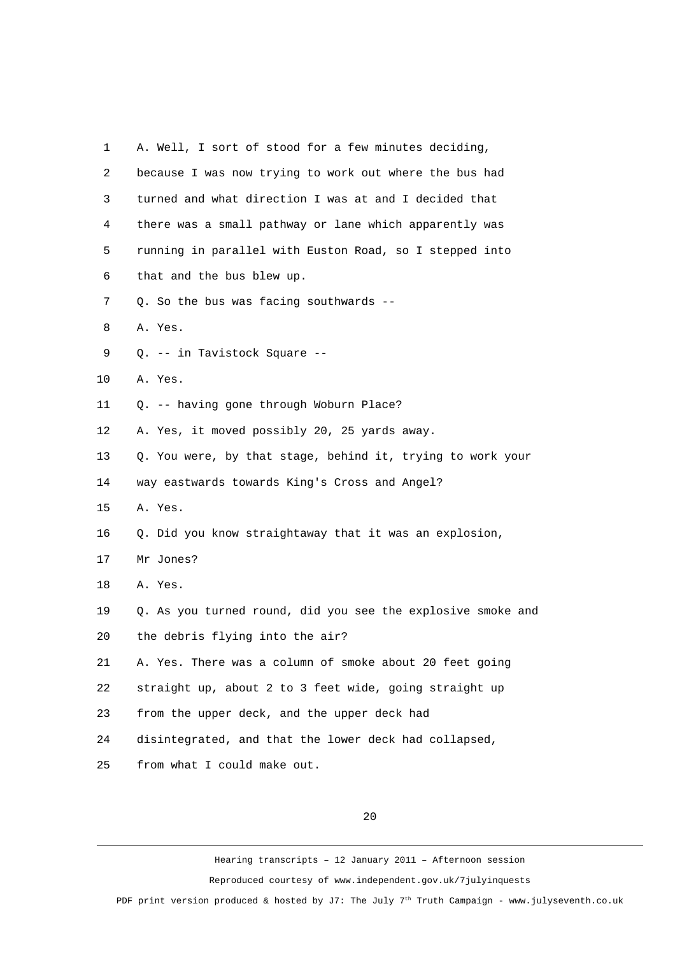| 1              | A. Well, I sort of stood for a few minutes deciding,        |
|----------------|-------------------------------------------------------------|
| $\overline{2}$ | because I was now trying to work out where the bus had      |
| 3              | turned and what direction I was at and I decided that       |
| 4              | there was a small pathway or lane which apparently was      |
| 5              | running in parallel with Euston Road, so I stepped into     |
| 6              | that and the bus blew up.                                   |
| $\overline{7}$ | Q. So the bus was facing southwards --                      |
| 8              | A. Yes.                                                     |
| 9              | Q. -- in Tavistock Square --                                |
| 10             | A. Yes.                                                     |
| 11             | Q. -- having gone through Woburn Place?                     |
| 12             | A. Yes, it moved possibly 20, 25 yards away.                |
| 13             | Q. You were, by that stage, behind it, trying to work your  |
| 14             | way eastwards towards King's Cross and Angel?               |
| 15             | A. Yes.                                                     |
| 16             | Q. Did you know straightaway that it was an explosion,      |
| 17             | Mr Jones?                                                   |
| 18             | A. Yes.                                                     |
| 19             | Q. As you turned round, did you see the explosive smoke and |
| 20             | the debris flying into the air?                             |
| 21             | A. Yes. There was a column of smoke about 20 feet going     |
| 22             | straight up, about 2 to 3 feet wide, going straight up      |
| 23             | from the upper deck, and the upper deck had                 |
| 24             | disintegrated, and that the lower deck had collapsed,       |
| 25             | from what I could make out.                                 |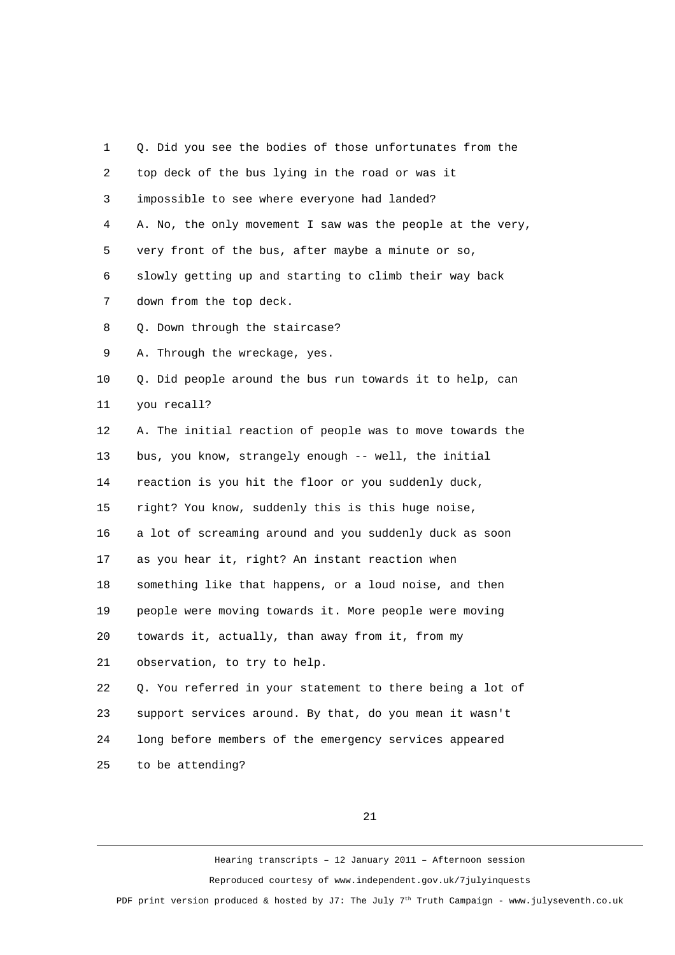| 1              | Q. Did you see the bodies of those unfortunates from the   |
|----------------|------------------------------------------------------------|
| $\overline{c}$ | top deck of the bus lying in the road or was it            |
| 3              | impossible to see where everyone had landed?               |
| 4              | A. No, the only movement I saw was the people at the very, |
| 5              | very front of the bus, after maybe a minute or so,         |
| 6              | slowly getting up and starting to climb their way back     |
| $\overline{7}$ | down from the top deck.                                    |
| 8              | Q. Down through the staircase?                             |
| 9              | A. Through the wreckage, yes.                              |
| 10             | Q. Did people around the bus run towards it to help, can   |
| 11             | you recall?                                                |
| 12             | A. The initial reaction of people was to move towards the  |
| 13             | bus, you know, strangely enough -- well, the initial       |
| 14             | reaction is you hit the floor or you suddenly duck,        |
| 15             | right? You know, suddenly this is this huge noise,         |
| 16             | a lot of screaming around and you suddenly duck as soon    |
| 17             | as you hear it, right? An instant reaction when            |
| 18             | something like that happens, or a loud noise, and then     |
| 19             | people were moving towards it. More people were moving     |
| 20             | towards it, actually, than away from it, from my           |
| 21             | observation, to try to help.                               |
| 22             | Q. You referred in your statement to there being a lot of  |
| 23             | support services around. By that, do you mean it wasn't    |
| 24             | long before members of the emergency services appeared     |
| 25             | to be attending?                                           |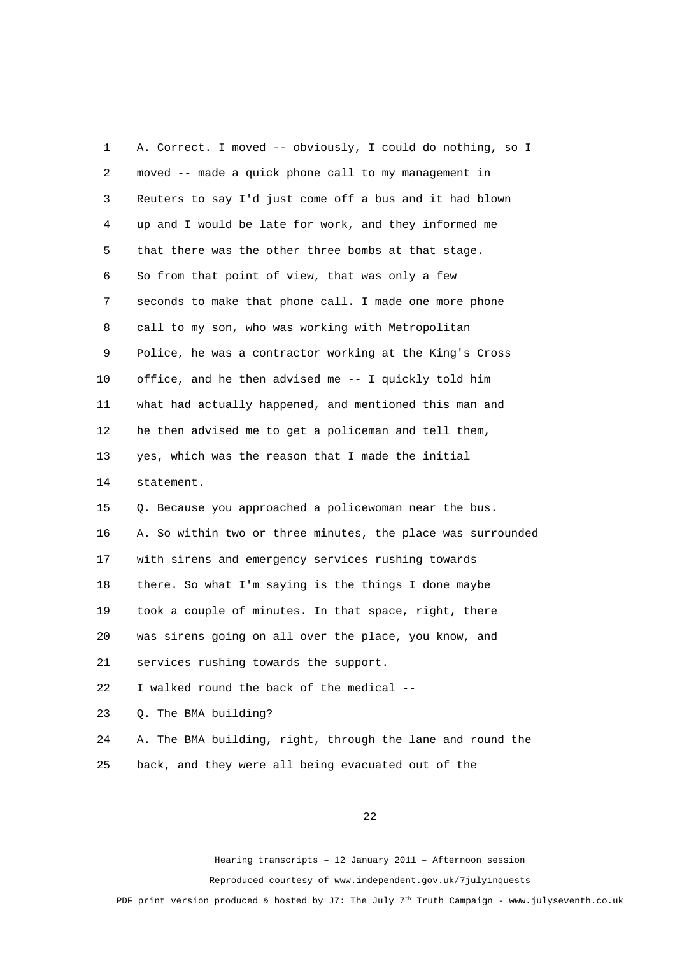1 A. Correct. I moved -- obviously, I could do nothing, so I 2 moved -- made a quick phone call to my management in 3 Reuters to say I'd just come off a bus and it had blown 4 up and I would be late for work, and they informed me 5 that there was the other three bombs at that stage. 6 So from that point of view, that was only a few 7 seconds to make that phone call. I made one more phone 8 call to my son, who was working with Metropolitan 9 Police, he was a contractor working at the King's Cross 10 office, and he then advised me -- I quickly told him 11 what had actually happened, and mentioned this man and 12 he then advised me to get a policeman and tell them, 13 yes, which was the reason that I made the initial 14 statement. 15 Q. Because you approached a policewoman near the bus. 16 A. So within two or three minutes, the place was surrounded 17 with sirens and emergency services rushing towards 18 there. So what I'm saying is the things I done maybe 19 took a couple of minutes. In that space, right, there 20 was sirens going on all over the place, you know, and 21 services rushing towards the support. 22 I walked round the back of the medical -- 23 Q. The BMA building? 24 A. The BMA building, right, through the lane and round the 25 back, and they were all being evacuated out of the

22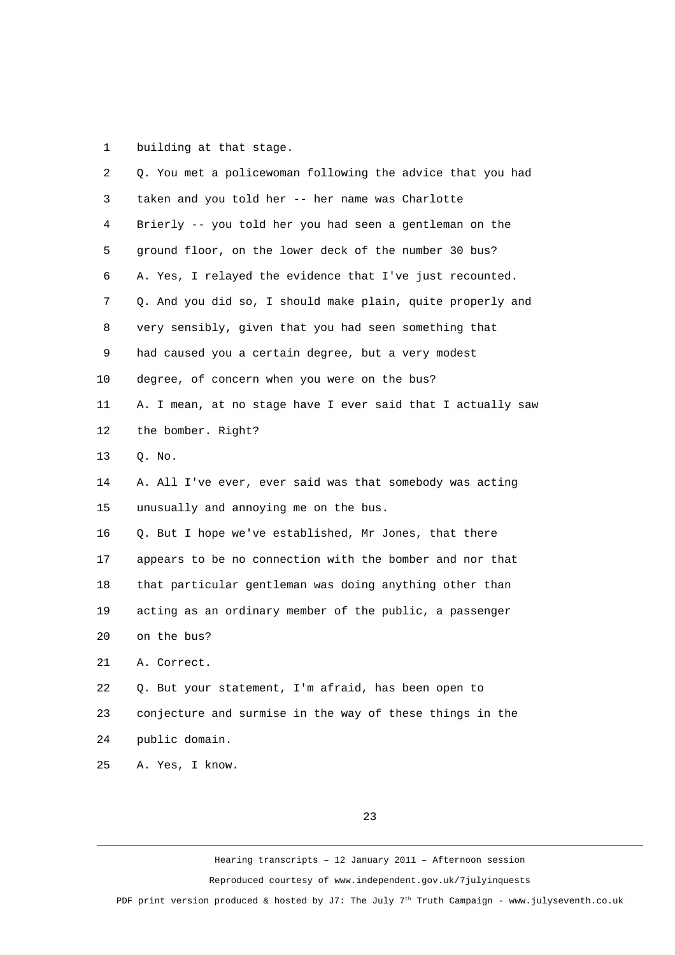1 building at that stage.

| $\overline{2}$ | Q. You met a policewoman following the advice that you had  |
|----------------|-------------------------------------------------------------|
| 3              | taken and you told her -- her name was Charlotte            |
| 4              | Brierly -- you told her you had seen a gentleman on the     |
| 5              | ground floor, on the lower deck of the number 30 bus?       |
| 6              | A. Yes, I relayed the evidence that I've just recounted.    |
| $\overline{7}$ | Q. And you did so, I should make plain, quite properly and  |
| 8              | very sensibly, given that you had seen something that       |
| 9              | had caused you a certain degree, but a very modest          |
| 10             | degree, of concern when you were on the bus?                |
| 11             | A. I mean, at no stage have I ever said that I actually saw |
| 12             | the bomber. Right?                                          |
| 13             | Q. No.                                                      |
| 14             | A. All I've ever, ever said was that somebody was acting    |
| 15             | unusually and annoying me on the bus.                       |
| 16             | Q. But I hope we've established, Mr Jones, that there       |
| 17             | appears to be no connection with the bomber and nor that    |
| 18             | that particular gentleman was doing anything other than     |
| 19             | acting as an ordinary member of the public, a passenger     |
| 20             | on the bus?                                                 |
| 21             | A. Correct.                                                 |
| 22             | Q. But your statement, I'm afraid, has been open to         |
| 23             | conjecture and surmise in the way of these things in the    |
| 24             | public domain.                                              |
| 25             | A. Yes, I know.                                             |

23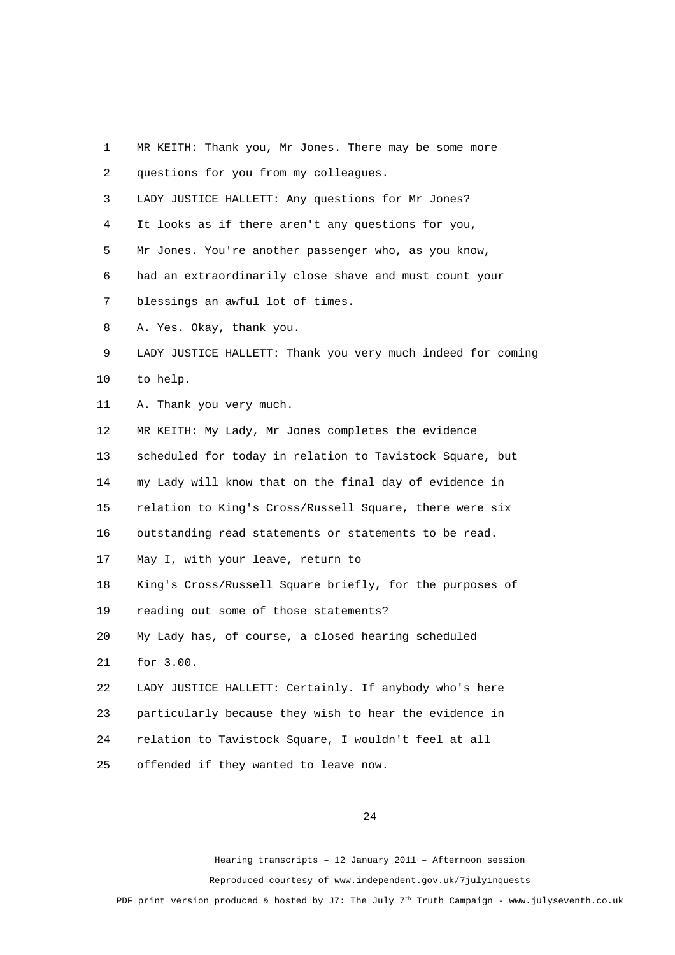| 1              | MR KEITH: Thank you, Mr Jones. There may be some more       |
|----------------|-------------------------------------------------------------|
| $\overline{c}$ | questions for you from my colleagues.                       |
| 3              | LADY JUSTICE HALLETT: Any questions for Mr Jones?           |
| 4              | It looks as if there aren't any questions for you,          |
| 5              | Mr Jones. You're another passenger who, as you know,        |
| 6              | had an extraordinarily close shave and must count your      |
| $\overline{7}$ | blessings an awful lot of times.                            |
| 8              | A. Yes. Okay, thank you.                                    |
| 9              | LADY JUSTICE HALLETT: Thank you very much indeed for coming |
| 10             | to help.                                                    |
| 11             | A. Thank you very much.                                     |
| 12             | MR KEITH: My Lady, Mr Jones completes the evidence          |
| 13             | scheduled for today in relation to Tavistock Square, but    |
| 14             | my Lady will know that on the final day of evidence in      |
| 15             | relation to King's Cross/Russell Square, there were six     |
| 16             | outstanding read statements or statements to be read.       |
| 17             | May I, with your leave, return to                           |
| 18             | King's Cross/Russell Square briefly, for the purposes of    |
| 19             | reading out some of those statements?                       |
| 20             | My Lady has, of course, a closed hearing scheduled          |
| 21             | for 3.00.                                                   |
| 22             | LADY JUSTICE HALLETT: Certainly. If anybody who's here      |
| 23             | particularly because they wish to hear the evidence in      |
| 24             | relation to Tavistock Square, I wouldn't feel at all        |
| 25             | offended if they wanted to leave now.                       |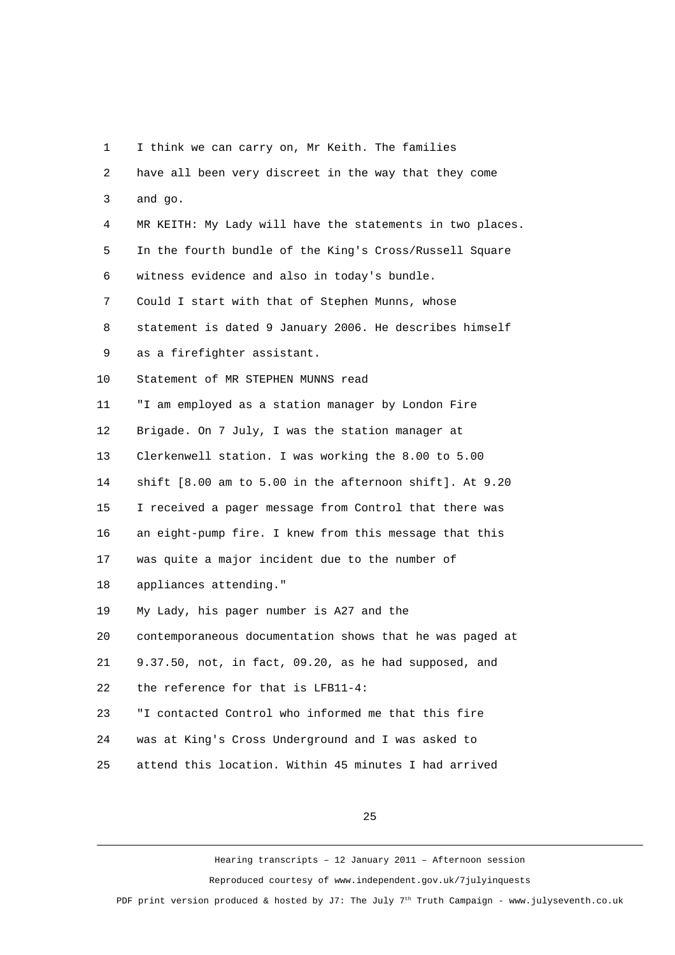1 I think we can carry on, Mr Keith. The families 2 have all been very discreet in the way that they come 3 and go. 4 MR KEITH: My Lady will have the statements in two places. 5 In the fourth bundle of the King's Cross/Russell Square 6 witness evidence and also in today's bundle. 7 Could I start with that of Stephen Munns, whose 8 statement is dated 9 January 2006. He describes himself 9 as a firefighter assistant. 10 Statement of MR STEPHEN MUNNS read 11 "I am employed as a station manager by London Fire 12 Brigade. On 7 July, I was the station manager at 13 Clerkenwell station. I was working the 8.00 to 5.00 14 shift [8.00 am to 5.00 in the afternoon shift]. At 9.20 15 I received a pager message from Control that there was 16 an eight-pump fire. I knew from this message that this 17 was quite a major incident due to the number of 18 appliances attending." 19 My Lady, his pager number is A27 and the 20 contemporaneous documentation shows that he was paged at 21 9.37.50, not, in fact, 09.20, as he had supposed, and 22 the reference for that is LFB11-4: 23 "I contacted Control who informed me that this fire 24 was at King's Cross Underground and I was asked to 25 attend this location. Within 45 minutes I had arrived

25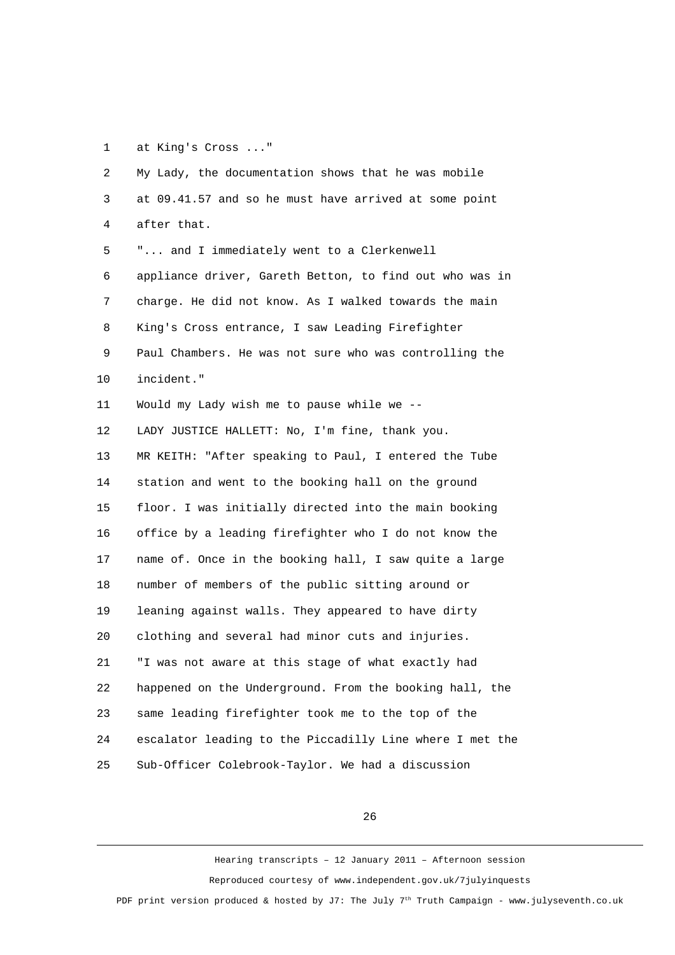1 at King's Cross ..."

 2 My Lady, the documentation shows that he was mobile 3 at 09.41.57 and so he must have arrived at some point 4 after that. 5 "... and I immediately went to a Clerkenwell 6 appliance driver, Gareth Betton, to find out who was in 7 charge. He did not know. As I walked towards the main 8 King's Cross entrance, I saw Leading Firefighter 9 Paul Chambers. He was not sure who was controlling the 10 incident." 11 Would my Lady wish me to pause while we -- 12 LADY JUSTICE HALLETT: No, I'm fine, thank you. 13 MR KEITH: "After speaking to Paul, I entered the Tube 14 station and went to the booking hall on the ground 15 floor. I was initially directed into the main booking 16 office by a leading firefighter who I do not know the 17 name of. Once in the booking hall, I saw quite a large 18 number of members of the public sitting around or 19 leaning against walls. They appeared to have dirty 20 clothing and several had minor cuts and injuries. 21 "I was not aware at this stage of what exactly had 22 happened on the Underground. From the booking hall, the 23 same leading firefighter took me to the top of the 24 escalator leading to the Piccadilly Line where I met the 25 Sub-Officer Colebrook-Taylor. We had a discussion

26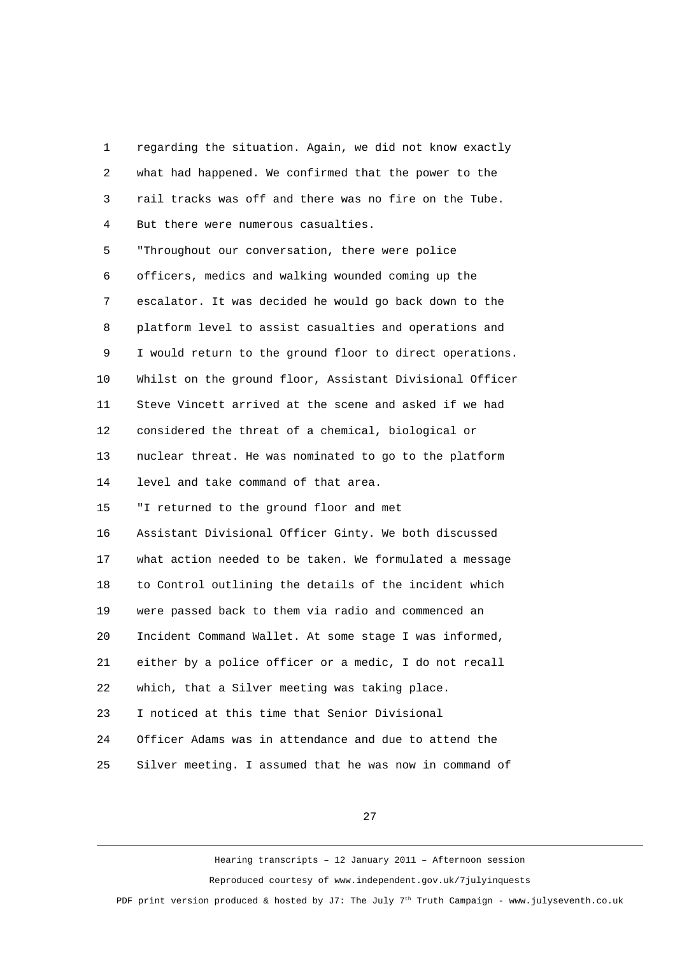1 regarding the situation. Again, we did not know exactly 2 what had happened. We confirmed that the power to the 3 rail tracks was off and there was no fire on the Tube. 4 But there were numerous casualties. 5 "Throughout our conversation, there were police 6 officers, medics and walking wounded coming up the 7 escalator. It was decided he would go back down to the 8 platform level to assist casualties and operations and 9 I would return to the ground floor to direct operations. 10 Whilst on the ground floor, Assistant Divisional Officer 11 Steve Vincett arrived at the scene and asked if we had 12 considered the threat of a chemical, biological or 13 nuclear threat. He was nominated to go to the platform 14 level and take command of that area. 15 "I returned to the ground floor and met 16 Assistant Divisional Officer Ginty. We both discussed 17 what action needed to be taken. We formulated a message 18 to Control outlining the details of the incident which 19 were passed back to them via radio and commenced an 20 Incident Command Wallet. At some stage I was informed, 21 either by a police officer or a medic, I do not recall 22 which, that a Silver meeting was taking place. 23 I noticed at this time that Senior Divisional 24 Officer Adams was in attendance and due to attend the 25 Silver meeting. I assumed that he was now in command of

27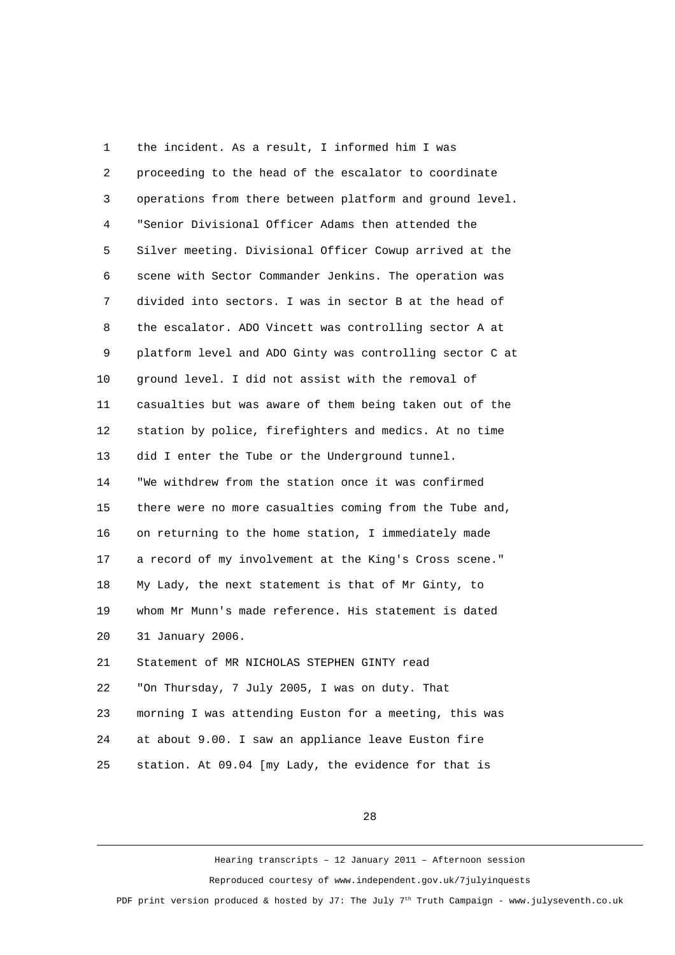1 the incident. As a result, I informed him I was 2 proceeding to the head of the escalator to coordinate 3 operations from there between platform and ground level. 4 "Senior Divisional Officer Adams then attended the 5 Silver meeting. Divisional Officer Cowup arrived at the 6 scene with Sector Commander Jenkins. The operation was 7 divided into sectors. I was in sector B at the head of 8 the escalator. ADO Vincett was controlling sector A at 9 platform level and ADO Ginty was controlling sector C at 10 ground level. I did not assist with the removal of 11 casualties but was aware of them being taken out of the 12 station by police, firefighters and medics. At no time 13 did I enter the Tube or the Underground tunnel. 14 "We withdrew from the station once it was confirmed 15 there were no more casualties coming from the Tube and, 16 on returning to the home station, I immediately made 17 a record of my involvement at the King's Cross scene." 18 My Lady, the next statement is that of Mr Ginty, to 19 whom Mr Munn's made reference. His statement is dated 20 31 January 2006. 21 Statement of MR NICHOLAS STEPHEN GINTY read 22 "On Thursday, 7 July 2005, I was on duty. That 23 morning I was attending Euston for a meeting, this was 24 at about 9.00. I saw an appliance leave Euston fire 25 station. At 09.04 [my Lady, the evidence for that is

28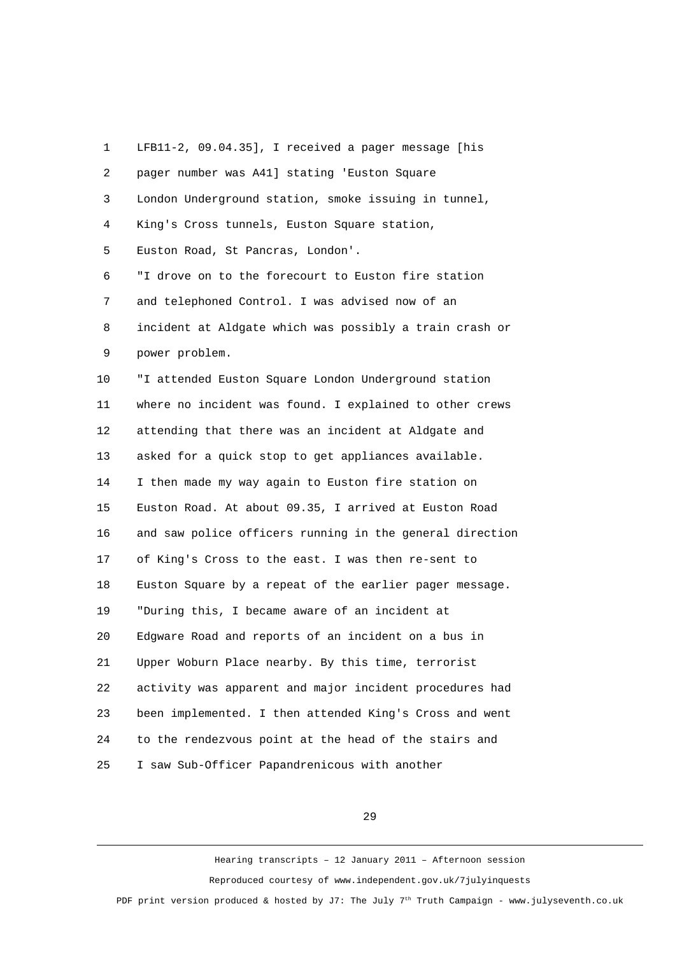1 LFB11-2, 09.04.35], I received a pager message [his 2 pager number was A41] stating 'Euston Square 3 London Underground station, smoke issuing in tunnel, 4 King's Cross tunnels, Euston Square station, 5 Euston Road, St Pancras, London'. 6 "I drove on to the forecourt to Euston fire station 7 and telephoned Control. I was advised now of an 8 incident at Aldgate which was possibly a train crash or 9 power problem. 10 "I attended Euston Square London Underground station 11 where no incident was found. I explained to other crews 12 attending that there was an incident at Aldgate and 13 asked for a quick stop to get appliances available. 14 I then made my way again to Euston fire station on 15 Euston Road. At about 09.35, I arrived at Euston Road 16 and saw police officers running in the general direction 17 of King's Cross to the east. I was then re-sent to 18 Euston Square by a repeat of the earlier pager message. 19 "During this, I became aware of an incident at 20 Edgware Road and reports of an incident on a bus in 21 Upper Woburn Place nearby. By this time, terrorist 22 activity was apparent and major incident procedures had 23 been implemented. I then attended King's Cross and went 24 to the rendezvous point at the head of the stairs and 25 I saw Sub-Officer Papandrenicous with another

## 29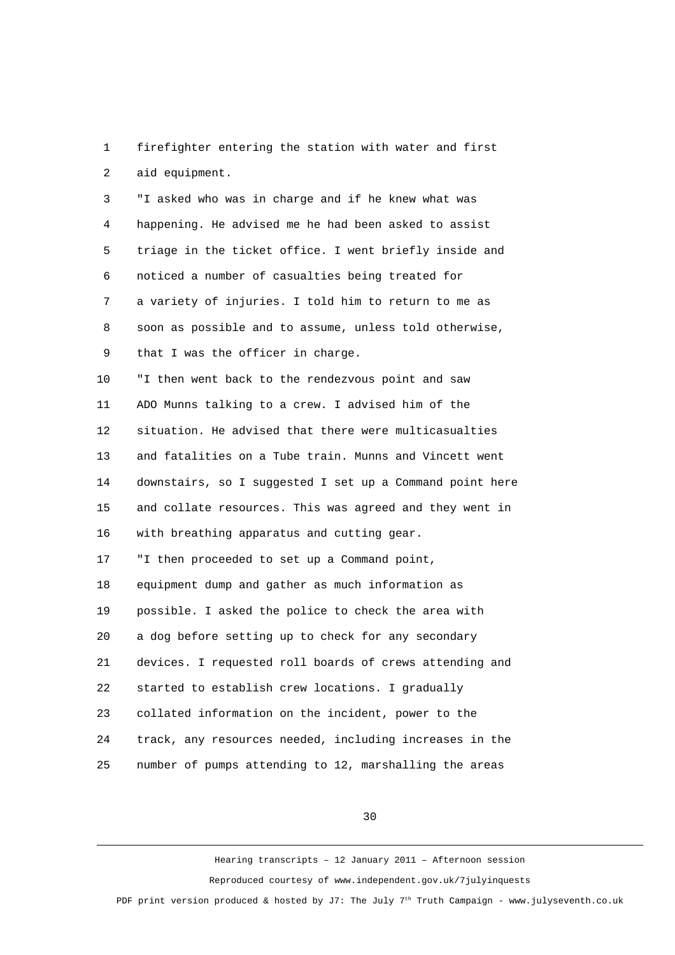1 firefighter entering the station with water and first 2 aid equipment.

 3 "I asked who was in charge and if he knew what was 4 happening. He advised me he had been asked to assist 5 triage in the ticket office. I went briefly inside and 6 noticed a number of casualties being treated for 7 a variety of injuries. I told him to return to me as 8 soon as possible and to assume, unless told otherwise, 9 that I was the officer in charge. 10 "I then went back to the rendezvous point and saw 11 ADO Munns talking to a crew. I advised him of the 12 situation. He advised that there were multicasualties 13 and fatalities on a Tube train. Munns and Vincett went 14 downstairs, so I suggested I set up a Command point here 15 and collate resources. This was agreed and they went in 16 with breathing apparatus and cutting gear. 17 "I then proceeded to set up a Command point, 18 equipment dump and gather as much information as 19 possible. I asked the police to check the area with 20 a dog before setting up to check for any secondary 21 devices. I requested roll boards of crews attending and 22 started to establish crew locations. I gradually 23 collated information on the incident, power to the 24 track, any resources needed, including increases in the

25 number of pumps attending to 12, marshalling the areas

30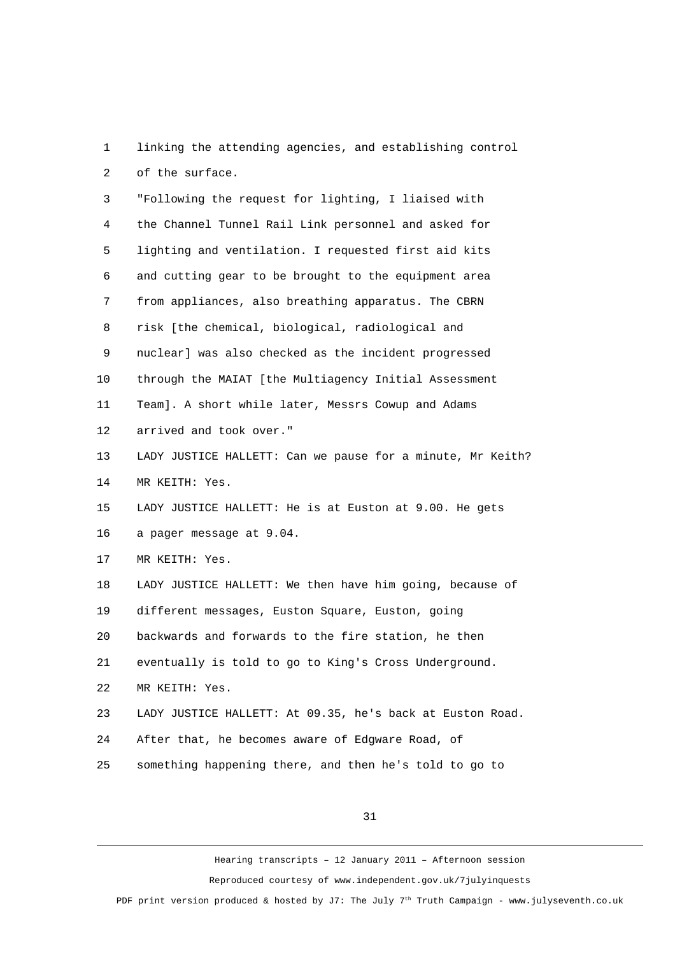1 linking the attending agencies, and establishing control 2 of the surface.

 3 "Following the request for lighting, I liaised with 4 the Channel Tunnel Rail Link personnel and asked for 5 lighting and ventilation. I requested first aid kits 6 and cutting gear to be brought to the equipment area 7 from appliances, also breathing apparatus. The CBRN 8 risk [the chemical, biological, radiological and 9 nuclear] was also checked as the incident progressed 10 through the MAIAT [the Multiagency Initial Assessment 11 Team]. A short while later, Messrs Cowup and Adams 12 arrived and took over." 13 LADY JUSTICE HALLETT: Can we pause for a minute, Mr Keith? 14 MR KEITH: Yes. 15 LADY JUSTICE HALLETT: He is at Euston at 9.00. He gets 16 a pager message at 9.04. 17 MR KEITH: Yes. 18 LADY JUSTICE HALLETT: We then have him going, because of 19 different messages, Euston Square, Euston, going 20 backwards and forwards to the fire station, he then 21 eventually is told to go to King's Cross Underground. 22 MR KEITH: Yes. 23 LADY JUSTICE HALLETT: At 09.35, he's back at Euston Road. 24 After that, he becomes aware of Edgware Road, of 25 something happening there, and then he's told to go to

31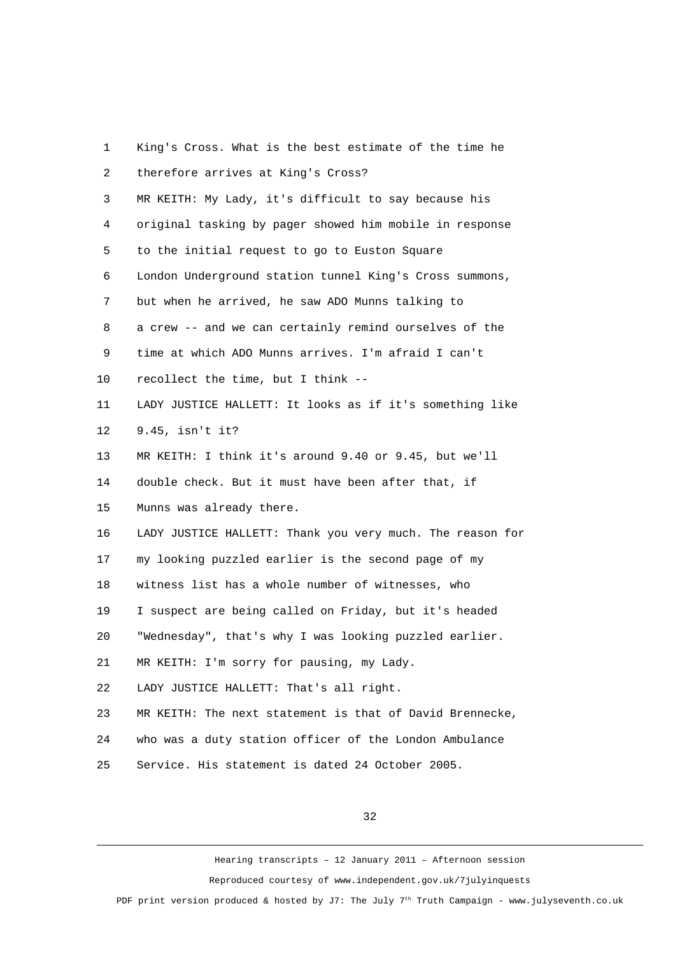| 1              | King's Cross. What is the best estimate of the time he    |
|----------------|-----------------------------------------------------------|
| $\overline{c}$ | therefore arrives at King's Cross?                        |
| 3              | MR KEITH: My Lady, it's difficult to say because his      |
| 4              | original tasking by pager showed him mobile in response   |
| 5              | to the initial request to go to Euston Square             |
| 6              | London Underground station tunnel King's Cross summons,   |
| 7              | but when he arrived, he saw ADO Munns talking to          |
| 8              | a crew -- and we can certainly remind ourselves of the    |
| 9              | time at which ADO Munns arrives. I'm afraid I can't       |
| 10             | recollect the time, but I think --                        |
| 11             | LADY JUSTICE HALLETT: It looks as if it's something like  |
| 12             | 9.45, isn't it?                                           |
| 13             | MR KEITH: I think it's around 9.40 or 9.45, but we'll     |
| 14             | double check. But it must have been after that, if        |
| 15             | Munns was already there.                                  |
| 16             | LADY JUSTICE HALLETT: Thank you very much. The reason for |
| 17             | my looking puzzled earlier is the second page of my       |
| 18             | witness list has a whole number of witnesses, who         |
| 19             | I suspect are being called on Friday, but it's headed     |
| 20             | "Wednesday", that's why I was looking puzzled earlier.    |
| 21             | MR KEITH: I'm sorry for pausing, my Lady.                 |
| 22             | LADY JUSTICE HALLETT: That's all right.                   |
| 23             | MR KEITH: The next statement is that of David Brennecke,  |
| 24             | who was a duty station officer of the London Ambulance    |
| 25             | Service. His statement is dated 24 October 2005.          |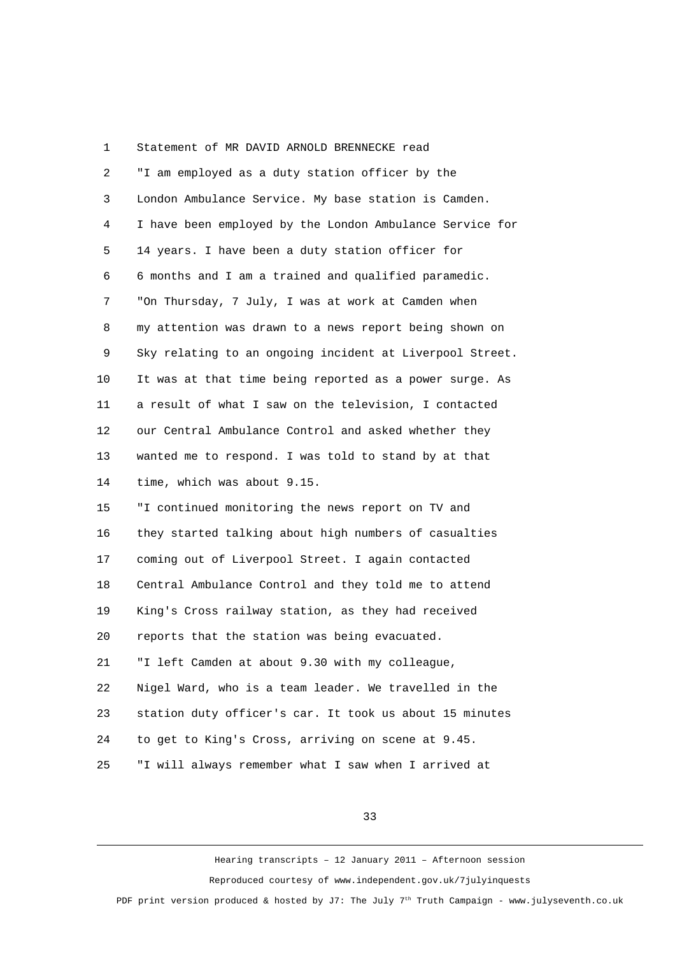| 1  | Statement of MR DAVID ARNOLD BRENNECKE read              |
|----|----------------------------------------------------------|
| 2  | "I am employed as a duty station officer by the          |
| 3  | London Ambulance Service. My base station is Camden.     |
| 4  | I have been employed by the London Ambulance Service for |
| 5  | 14 years. I have been a duty station officer for         |
| 6  | 6 months and I am a trained and qualified paramedic.     |
| 7  | "On Thursday, 7 July, I was at work at Camden when       |
| 8  | my attention was drawn to a news report being shown on   |
| 9  | Sky relating to an ongoing incident at Liverpool Street. |
| 10 | It was at that time being reported as a power surge. As  |
| 11 | a result of what I saw on the television, I contacted    |
| 12 | our Central Ambulance Control and asked whether they     |
| 13 | wanted me to respond. I was told to stand by at that     |
| 14 | time, which was about 9.15.                              |
| 15 | "I continued monitoring the news report on TV and        |
| 16 | they started talking about high numbers of casualties    |
| 17 | coming out of Liverpool Street. I again contacted        |
| 18 | Central Ambulance Control and they told me to attend     |
| 19 | King's Cross railway station, as they had received       |
| 20 | reports that the station was being evacuated.            |
| 21 | "I left Camden at about 9.30 with my colleague,          |
| 22 | Nigel Ward, who is a team leader. We travelled in the    |
| 23 | station duty officer's car. It took us about 15 minutes  |
| 24 | to get to King's Cross, arriving on scene at 9.45.       |
| 25 | "I will always remember what I saw when I arrived at     |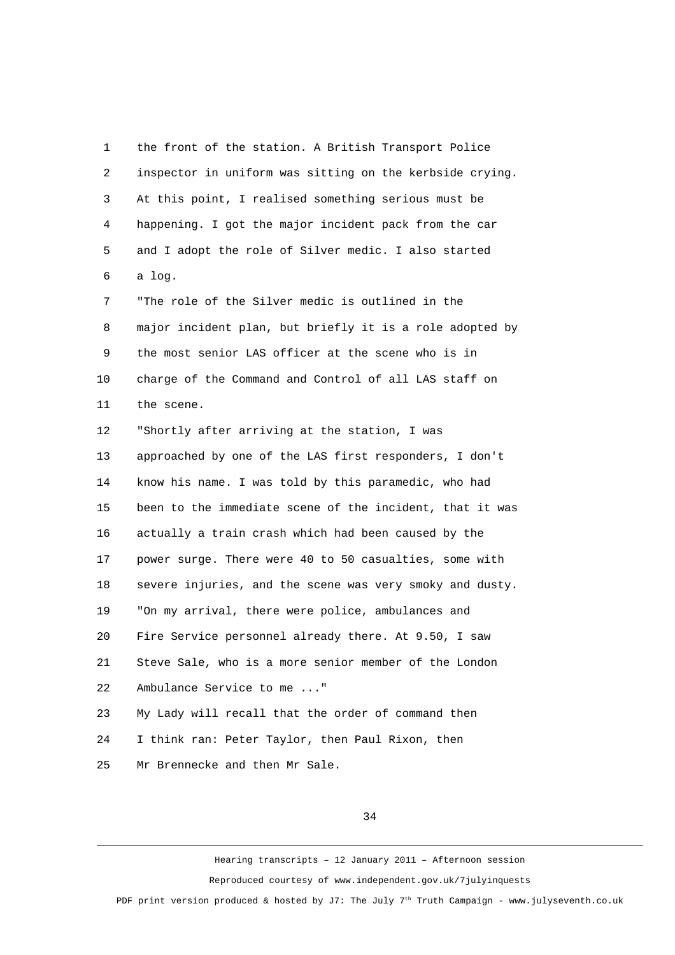1 the front of the station. A British Transport Police 2 inspector in uniform was sitting on the kerbside crying. 3 At this point, I realised something serious must be 4 happening. I got the major incident pack from the car 5 and I adopt the role of Silver medic. I also started 6 a log. 7 "The role of the Silver medic is outlined in the 8 major incident plan, but briefly it is a role adopted by 9 the most senior LAS officer at the scene who is in 10 charge of the Command and Control of all LAS staff on 11 the scene. 12 "Shortly after arriving at the station, I was 13 approached by one of the LAS first responders, I don't 14 know his name. I was told by this paramedic, who had 15 been to the immediate scene of the incident, that it was 16 actually a train crash which had been caused by the 17 power surge. There were 40 to 50 casualties, some with 18 severe injuries, and the scene was very smoky and dusty. 19 "On my arrival, there were police, ambulances and 20 Fire Service personnel already there. At 9.50, I saw 21 Steve Sale, who is a more senior member of the London 22 Ambulance Service to me ..." 23 My Lady will recall that the order of command then 24 I think ran: Peter Taylor, then Paul Rixon, then 25 Mr Brennecke and then Mr Sale.

34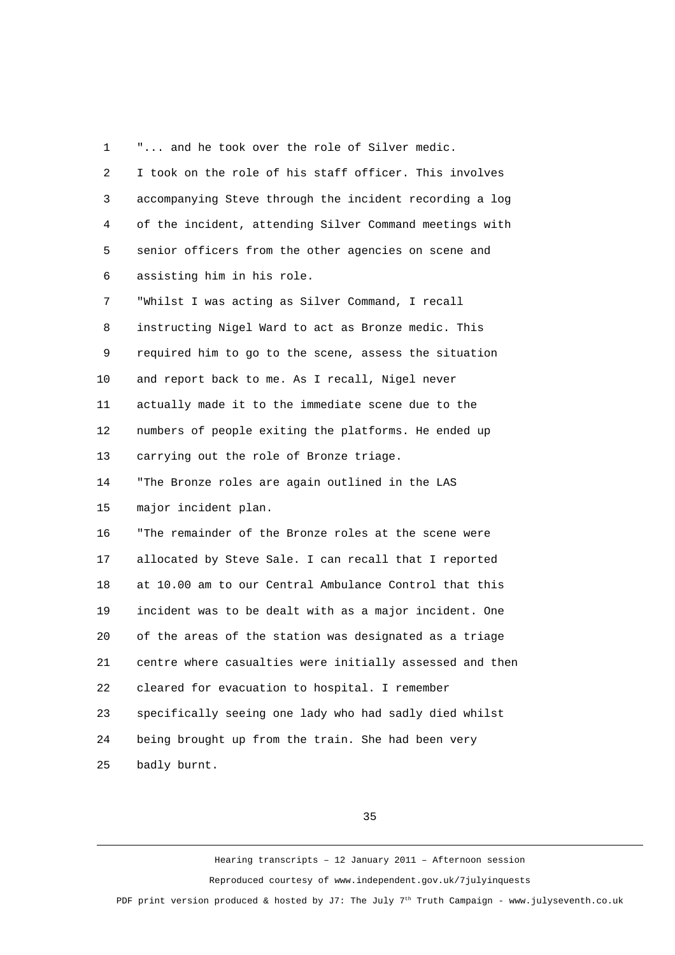1 "... and he took over the role of Silver medic.

| $\overline{2}$ | I took on the role of his staff officer. This involves   |
|----------------|----------------------------------------------------------|
| 3              | accompanying Steve through the incident recording a log  |
| 4              | of the incident, attending Silver Command meetings with  |
| 5              | senior officers from the other agencies on scene and     |
| 6              | assisting him in his role.                               |
| $\overline{7}$ | "Whilst I was acting as Silver Command, I recall         |
| 8              | instructing Nigel Ward to act as Bronze medic. This      |
| 9              | required him to go to the scene, assess the situation    |
| 10             | and report back to me. As I recall, Nigel never          |
| 11             | actually made it to the immediate scene due to the       |
| 12             | numbers of people exiting the platforms. He ended up     |
| 13             | carrying out the role of Bronze triage.                  |
| 14             | "The Bronze roles are again outlined in the LAS          |
| 15             | major incident plan.                                     |
| 16             | "The remainder of the Bronze roles at the scene were     |
| 17             | allocated by Steve Sale. I can recall that I reported    |
| 18             | at 10.00 am to our Central Ambulance Control that this   |
| 19             | incident was to be dealt with as a major incident. One   |
| 20             | of the areas of the station was designated as a triage   |
| 21             | centre where casualties were initially assessed and then |
| 22             | cleared for evacuation to hospital. I remember           |
| 23             | specifically seeing one lady who had sadly died whilst   |
| 24             | being brought up from the train. She had been very       |
| 25             | badly burnt.                                             |

35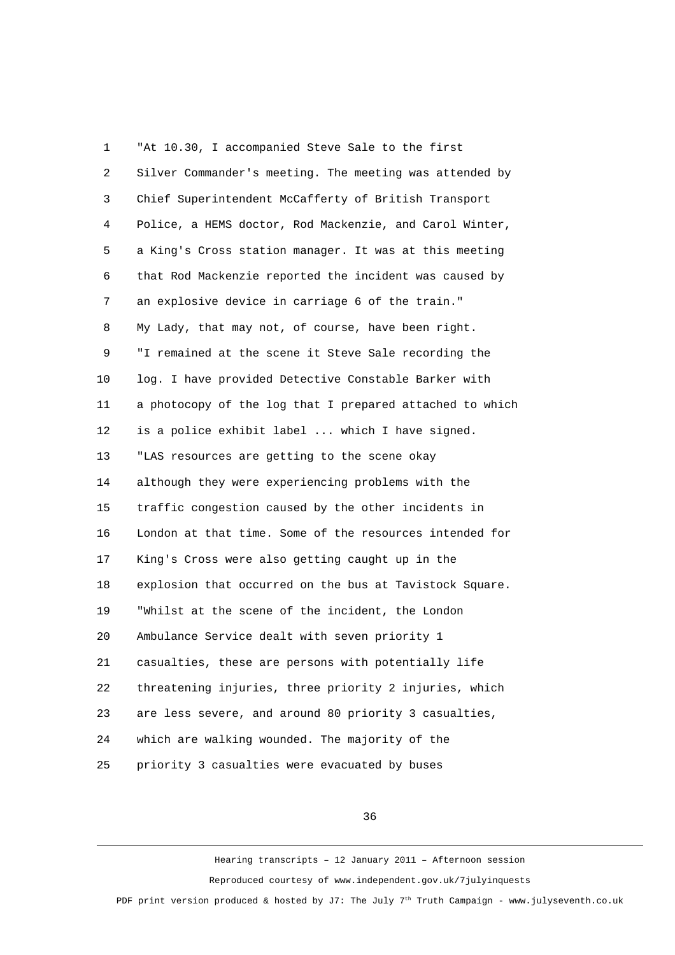1 "At 10.30, I accompanied Steve Sale to the first 2 Silver Commander's meeting. The meeting was attended by 3 Chief Superintendent McCafferty of British Transport 4 Police, a HEMS doctor, Rod Mackenzie, and Carol Winter, 5 a King's Cross station manager. It was at this meeting 6 that Rod Mackenzie reported the incident was caused by 7 an explosive device in carriage 6 of the train." 8 My Lady, that may not, of course, have been right. 9 "I remained at the scene it Steve Sale recording the 10 log. I have provided Detective Constable Barker with 11 a photocopy of the log that I prepared attached to which 12 is a police exhibit label ... which I have signed. 13 "LAS resources are getting to the scene okay 14 although they were experiencing problems with the 15 traffic congestion caused by the other incidents in 16 London at that time. Some of the resources intended for 17 King's Cross were also getting caught up in the 18 explosion that occurred on the bus at Tavistock Square. 19 "Whilst at the scene of the incident, the London 20 Ambulance Service dealt with seven priority 1 21 casualties, these are persons with potentially life 22 threatening injuries, three priority 2 injuries, which 23 are less severe, and around 80 priority 3 casualties, 24 which are walking wounded. The majority of the 25 priority 3 casualties were evacuated by buses

36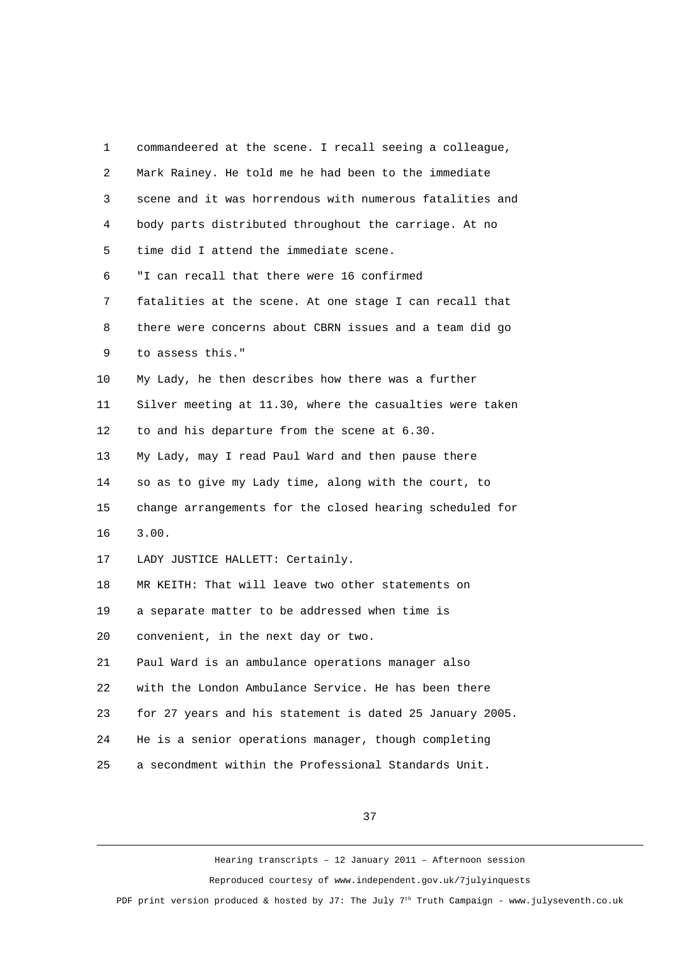| 1              | commandeered at the scene. I recall seeing a colleague,  |
|----------------|----------------------------------------------------------|
| 2              | Mark Rainey. He told me he had been to the immediate     |
| 3              | scene and it was horrendous with numerous fatalities and |
| 4              | body parts distributed throughout the carriage. At no    |
| 5              | time did I attend the immediate scene.                   |
| 6              | "I can recall that there were 16 confirmed               |
| $\overline{7}$ | fatalities at the scene. At one stage I can recall that  |
| 8              | there were concerns about CBRN issues and a team did go  |
| 9              | to assess this."                                         |
| 10             | My Lady, he then describes how there was a further       |
| 11             | Silver meeting at 11.30, where the casualties were taken |
| 12             | to and his departure from the scene at 6.30.             |
| 13             | My Lady, may I read Paul Ward and then pause there       |
| 14             | so as to give my Lady time, along with the court, to     |
| 15             | change arrangements for the closed hearing scheduled for |
| 16             | 3.00.                                                    |
| 17             | LADY JUSTICE HALLETT: Certainly.                         |
| 18             | MR KEITH: That will leave two other statements on        |
| 19             | a separate matter to be addressed when time is           |
| 20             | convenient, in the next day or two.                      |
| 21             | Paul Ward is an ambulance operations manager also        |
| 22             | with the London Ambulance Service. He has been there     |
| 23             | for 27 years and his statement is dated 25 January 2005. |
| 24             | He is a senior operations manager, though completing     |
| 25             | a secondment within the Professional Standards Unit.     |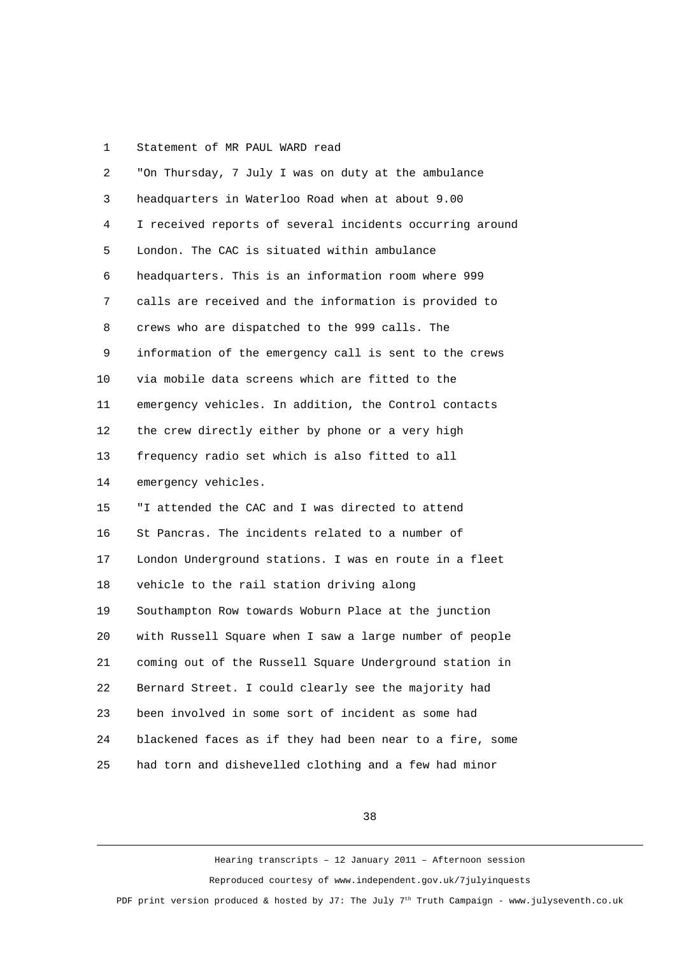## 1 Statement of MR PAUL WARD read

| $\overline{c}$ | "On Thursday, 7 July I was on duty at the ambulance      |
|----------------|----------------------------------------------------------|
| 3              | headquarters in Waterloo Road when at about 9.00         |
| 4              | I received reports of several incidents occurring around |
| 5              | London. The CAC is situated within ambulance             |
| 6              | headquarters. This is an information room where 999      |
| 7              | calls are received and the information is provided to    |
| 8              | crews who are dispatched to the 999 calls. The           |
| 9              | information of the emergency call is sent to the crews   |
| 10             | via mobile data screens which are fitted to the          |
| 11             | emergency vehicles. In addition, the Control contacts    |
| 12             | the crew directly either by phone or a very high         |
| 13             | frequency radio set which is also fitted to all          |
| 14             | emergency vehicles.                                      |
| 15             | "I attended the CAC and I was directed to attend         |
| 16             | St Pancras. The incidents related to a number of         |
| 17             | London Underground stations. I was en route in a fleet   |
| 18             | vehicle to the rail station driving along                |
| 19             | Southampton Row towards Woburn Place at the junction     |
| 20             | with Russell Square when I saw a large number of people  |
| 21             | coming out of the Russell Square Underground station in  |
| 22             | Bernard Street. I could clearly see the majority had     |
| 23             | been involved in some sort of incident as some had       |
| 24             | blackened faces as if they had been near to a fire, some |
| 25             | had torn and dishevelled clothing and a few had minor    |

## 38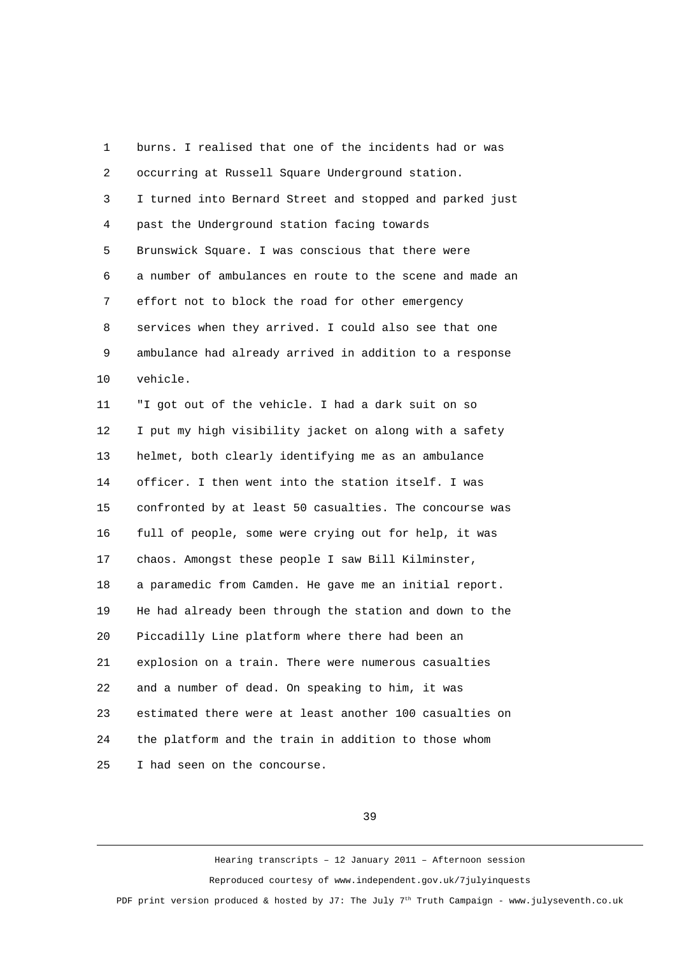1 burns. I realised that one of the incidents had or was 2 occurring at Russell Square Underground station. 3 I turned into Bernard Street and stopped and parked just 4 past the Underground station facing towards 5 Brunswick Square. I was conscious that there were 6 a number of ambulances en route to the scene and made an 7 effort not to block the road for other emergency 8 services when they arrived. I could also see that one 9 ambulance had already arrived in addition to a response 10 vehicle. 11 "I got out of the vehicle. I had a dark suit on so 12 I put my high visibility jacket on along with a safety 13 helmet, both clearly identifying me as an ambulance 14 officer. I then went into the station itself. I was 15 confronted by at least 50 casualties. The concourse was 16 full of people, some were crying out for help, it was 17 chaos. Amongst these people I saw Bill Kilminster, 18 a paramedic from Camden. He gave me an initial report. 19 He had already been through the station and down to the 20 Piccadilly Line platform where there had been an 21 explosion on a train. There were numerous casualties 22 and a number of dead. On speaking to him, it was 23 estimated there were at least another 100 casualties on 24 the platform and the train in addition to those whom 25 I had seen on the concourse.

39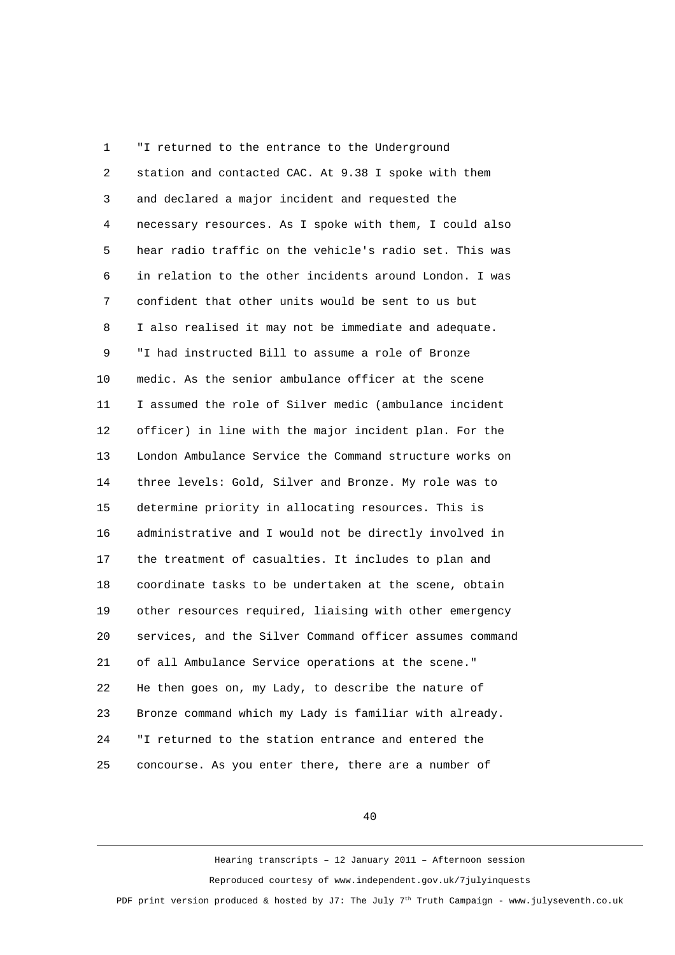1 "I returned to the entrance to the Underground 2 station and contacted CAC. At 9.38 I spoke with them 3 and declared a major incident and requested the 4 necessary resources. As I spoke with them, I could also 5 hear radio traffic on the vehicle's radio set. This was 6 in relation to the other incidents around London. I was 7 confident that other units would be sent to us but 8 I also realised it may not be immediate and adequate. 9 "I had instructed Bill to assume a role of Bronze 10 medic. As the senior ambulance officer at the scene 11 I assumed the role of Silver medic (ambulance incident 12 officer) in line with the major incident plan. For the 13 London Ambulance Service the Command structure works on 14 three levels: Gold, Silver and Bronze. My role was to 15 determine priority in allocating resources. This is 16 administrative and I would not be directly involved in 17 the treatment of casualties. It includes to plan and 18 coordinate tasks to be undertaken at the scene, obtain 19 other resources required, liaising with other emergency 20 services, and the Silver Command officer assumes command 21 of all Ambulance Service operations at the scene." 22 He then goes on, my Lady, to describe the nature of 23 Bronze command which my Lady is familiar with already. 24 "I returned to the station entrance and entered the 25 concourse. As you enter there, there are a number of

40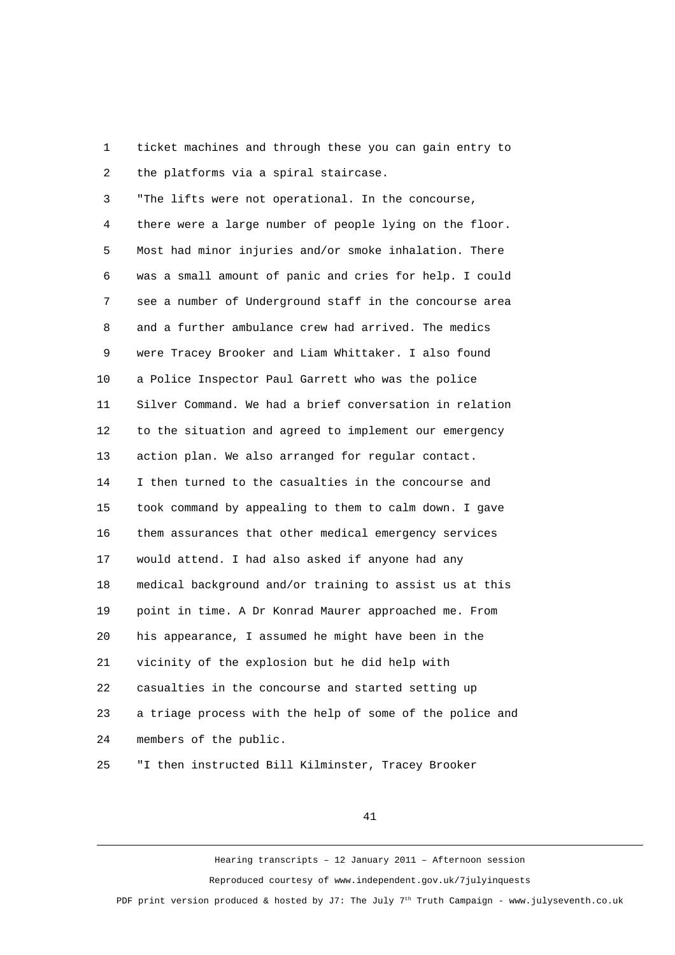1 ticket machines and through these you can gain entry to 2 the platforms via a spiral staircase.

3 "The lifts were not operational. In the concourse,

 4 there were a large number of people lying on the floor. 5 Most had minor injuries and/or smoke inhalation. There 6 was a small amount of panic and cries for help. I could 7 see a number of Underground staff in the concourse area 8 and a further ambulance crew had arrived. The medics 9 were Tracey Brooker and Liam Whittaker. I also found 10 a Police Inspector Paul Garrett who was the police 11 Silver Command. We had a brief conversation in relation 12 to the situation and agreed to implement our emergency 13 action plan. We also arranged for regular contact. 14 I then turned to the casualties in the concourse and 15 took command by appealing to them to calm down. I gave 16 them assurances that other medical emergency services 17 would attend. I had also asked if anyone had any 18 medical background and/or training to assist us at this 19 point in time. A Dr Konrad Maurer approached me. From 20 his appearance, I assumed he might have been in the 21 vicinity of the explosion but he did help with 22 casualties in the concourse and started setting up 23 a triage process with the help of some of the police and 24 members of the public.

25 "I then instructed Bill Kilminster, Tracey Brooker

41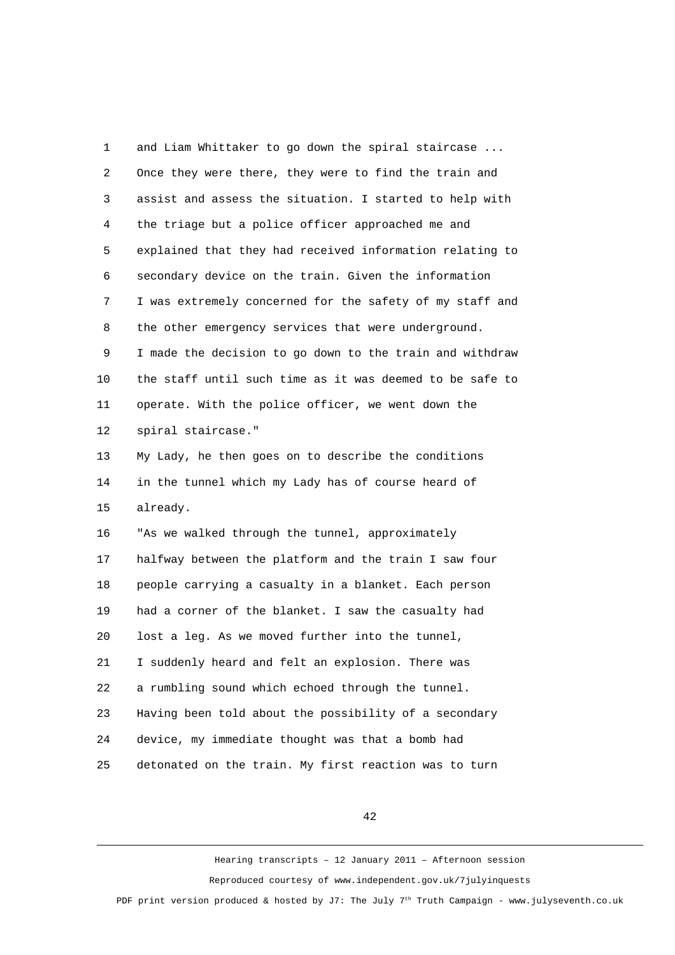1 and Liam Whittaker to go down the spiral staircase ... 2 Once they were there, they were to find the train and 3 assist and assess the situation. I started to help with 4 the triage but a police officer approached me and 5 explained that they had received information relating to 6 secondary device on the train. Given the information 7 I was extremely concerned for the safety of my staff and 8 the other emergency services that were underground. 9 I made the decision to go down to the train and withdraw 10 the staff until such time as it was deemed to be safe to 11 operate. With the police officer, we went down the 12 spiral staircase." 13 My Lady, he then goes on to describe the conditions 14 in the tunnel which my Lady has of course heard of 15 already. 16 "As we walked through the tunnel, approximately 17 halfway between the platform and the train I saw four 18 people carrying a casualty in a blanket. Each person 19 had a corner of the blanket. I saw the casualty had 20 lost a leg. As we moved further into the tunnel, 21 I suddenly heard and felt an explosion. There was 22 a rumbling sound which echoed through the tunnel. 23 Having been told about the possibility of a secondary 24 device, my immediate thought was that a bomb had 25 detonated on the train. My first reaction was to turn

42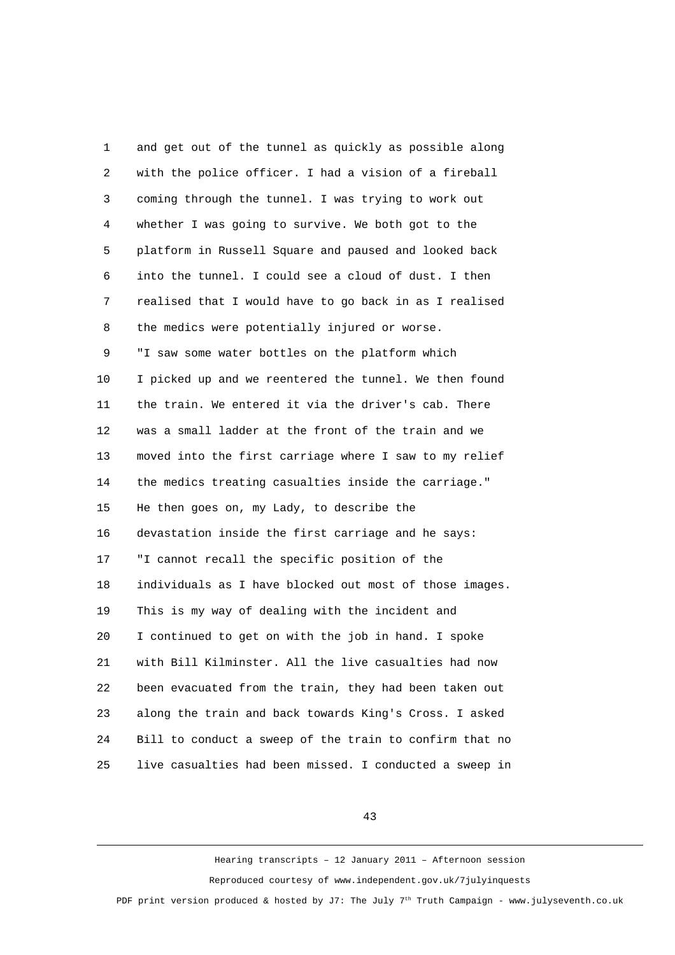1 and get out of the tunnel as quickly as possible along 2 with the police officer. I had a vision of a fireball 3 coming through the tunnel. I was trying to work out 4 whether I was going to survive. We both got to the 5 platform in Russell Square and paused and looked back 6 into the tunnel. I could see a cloud of dust. I then 7 realised that I would have to go back in as I realised 8 the medics were potentially injured or worse. 9 "I saw some water bottles on the platform which 10 I picked up and we reentered the tunnel. We then found 11 the train. We entered it via the driver's cab. There 12 was a small ladder at the front of the train and we 13 moved into the first carriage where I saw to my relief 14 the medics treating casualties inside the carriage." 15 He then goes on, my Lady, to describe the 16 devastation inside the first carriage and he says: 17 "I cannot recall the specific position of the 18 individuals as I have blocked out most of those images. 19 This is my way of dealing with the incident and 20 I continued to get on with the job in hand. I spoke 21 with Bill Kilminster. All the live casualties had now 22 been evacuated from the train, they had been taken out 23 along the train and back towards King's Cross. I asked 24 Bill to conduct a sweep of the train to confirm that no 25 live casualties had been missed. I conducted a sweep in

43